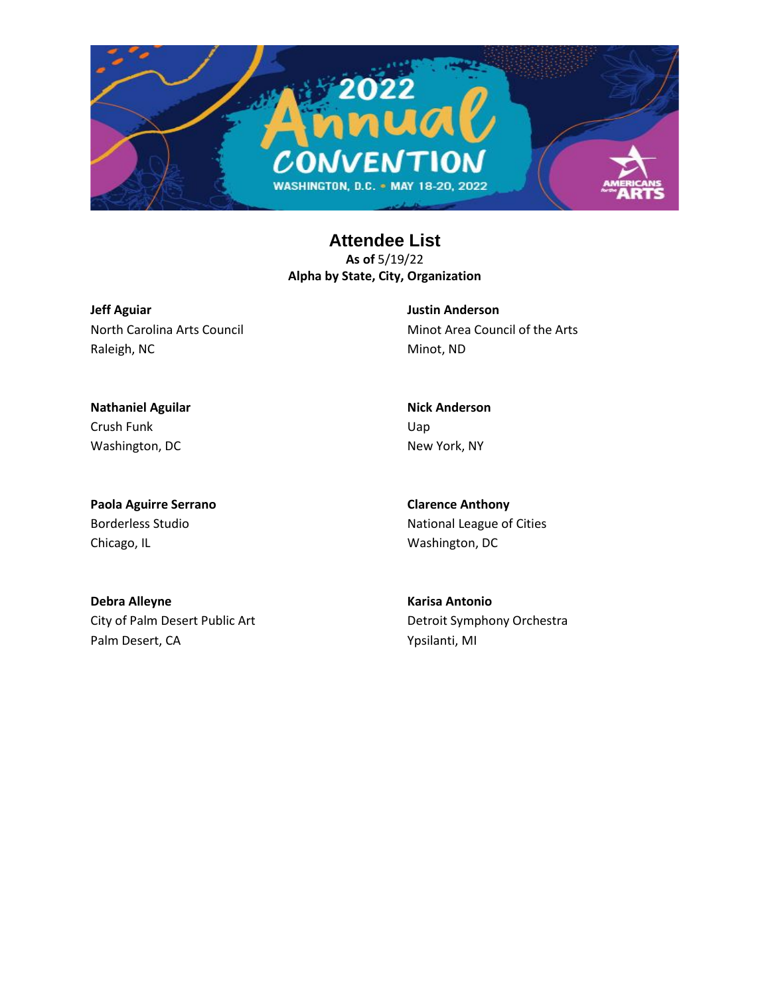

**Jeff Aguiar** North Carolina Arts Council Raleigh, NC

**Justin Anderson** Minot Area Council of the Arts Minot, ND

**Nathaniel Aguilar** Crush Funk Washington, DC

**Paola Aguirre Serrano** Borderless Studio Chicago, IL

**Clarence Anthony** National League of Cities Washington, DC

**Nick Anderson**

New York, NY

Uap

**Debra Alleyne** City of Palm Desert Public Art Palm Desert, CA

**Karisa Antonio** Detroit Symphony Orchestra Ypsilanti, MI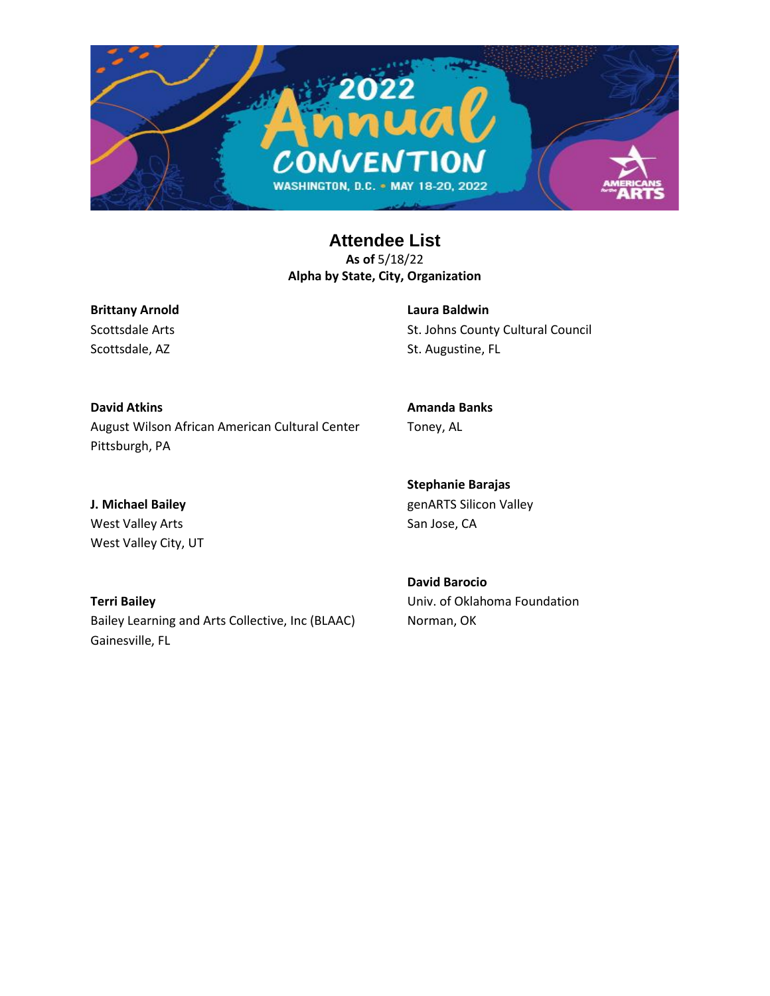

**Brittany Arnold** Scottsdale Arts Scottsdale, AZ

**Laura Baldwin** St. Johns County Cultural Council St. Augustine, FL

**David Atkins** August Wilson African American Cultural Center Pittsburgh, PA

**Amanda Banks** Toney, AL

**J. Michael Bailey** West Valley Arts West Valley City, UT

**Terri Bailey** Bailey Learning and Arts Collective, Inc (BLAAC) Gainesville, FL

**Stephanie Barajas** genARTS Silicon Valley San Jose, CA

**David Barocio** Univ. of Oklahoma Foundation Norman, OK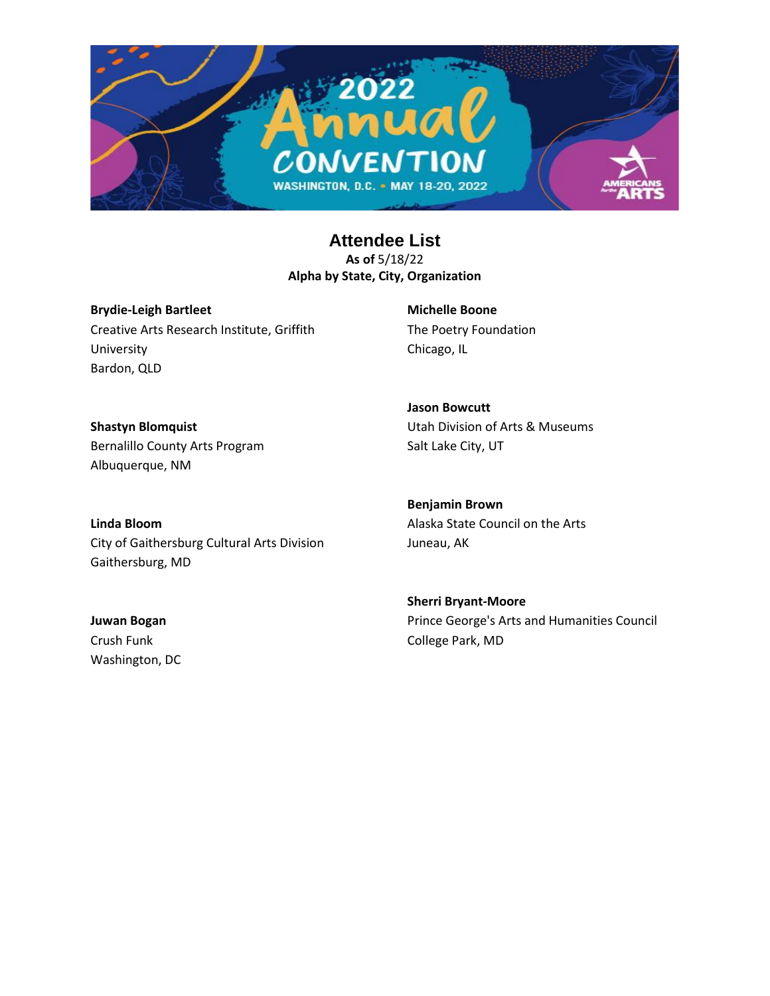

**Brydie-Leigh Bartleet** Creative Arts Research Institute, Griffith University Bardon, QLD

**Michelle Boone** The Poetry Foundation Chicago, IL

**Jason Bowcutt**

**Shastyn Blomquist** Bernalillo County Arts Program Albuquerque, NM

Utah Division of Arts & Museums Salt Lake City, UT

**Linda Bloom** City of Gaithersburg Cultural Arts Division Gaithersburg, MD

**Benjamin Brown** Alaska State Council on the Arts Juneau, AK

**Juwan Bogan** Crush Funk Washington, DC **Sherri Bryant-Moore** Prince George's Arts and Humanities Council College Park, MD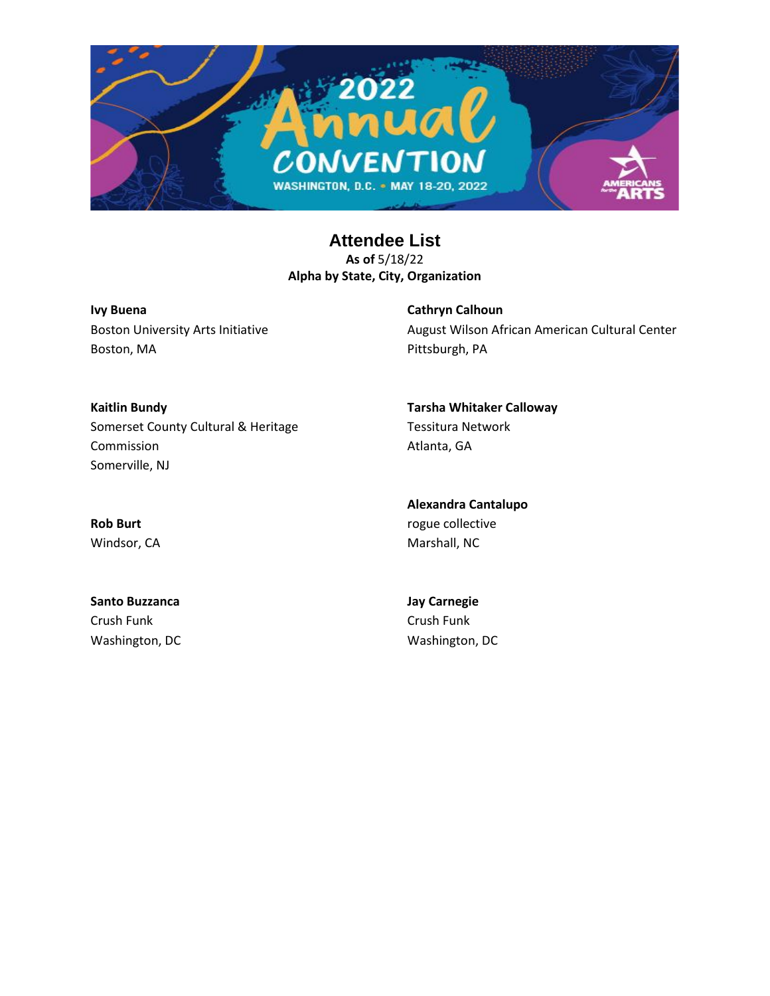

**Ivy Buena** Boston University Arts Initiative Boston, MA

**Cathryn Calhoun** August Wilson African American Cultural Center Pittsburgh, PA

**Kaitlin Bundy** Somerset County Cultural & Heritage Commission Somerville, NJ

Atlanta, GA **Alexandra Cantalupo**

Tessitura Network

**Tarsha Whitaker Calloway**

**Rob Burt** Windsor, CA

**Santo Buzzanca** Crush Funk Washington, DC **Jay Carnegie** Crush Funk Washington, DC

rogue collective Marshall, NC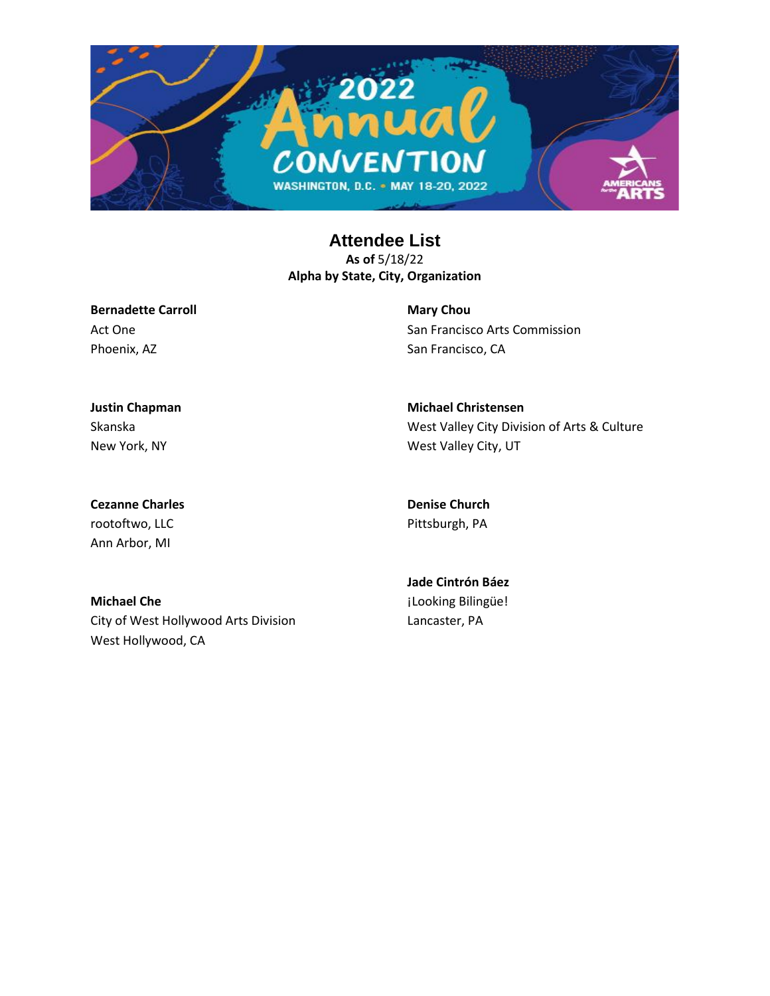

**Bernadette Carroll** Act One Phoenix, AZ

**Mary Chou** San Francisco Arts Commission San Francisco, CA

**Justin Chapman** Skanska New York, NY

**Michael Christensen** West Valley City Division of Arts & Culture West Valley City, UT

**Cezanne Charles** rootoftwo, LLC Ann Arbor, MI

**Denise Church** Pittsburgh, PA

**Michael Che** City of West Hollywood Arts Division West Hollywood, CA

**Jade Cintrón Báez** ¡Looking Bilingüe! Lancaster, PA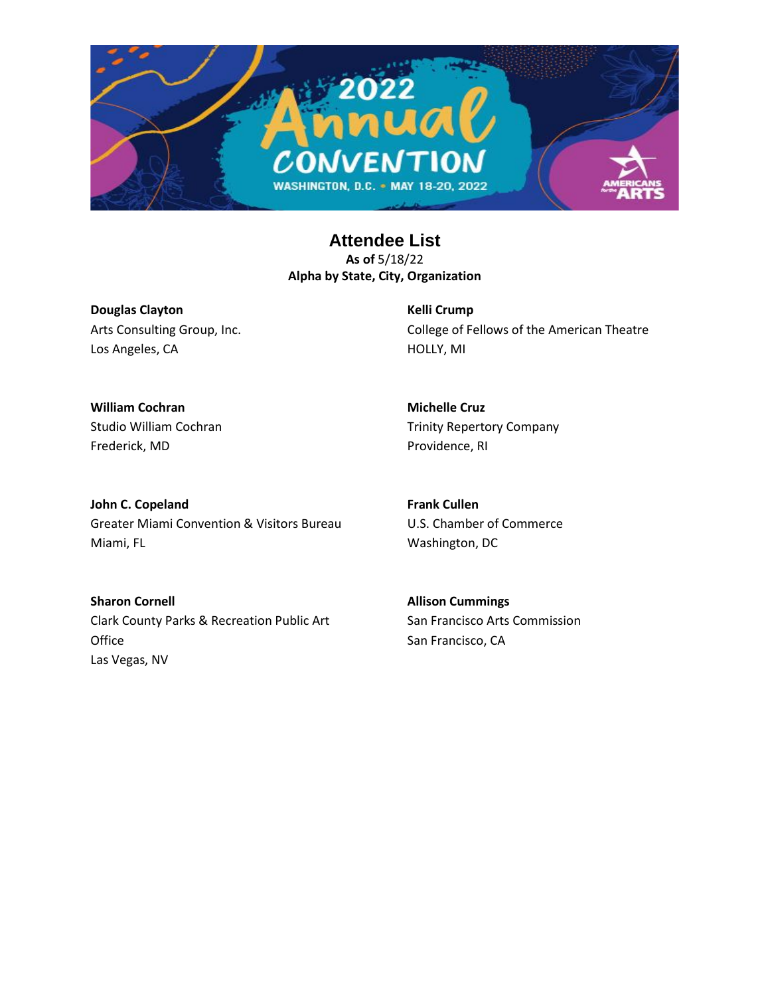

**Douglas Clayton** Arts Consulting Group, Inc. Los Angeles, CA

**Kelli Crump** College of Fellows of the American Theatre HOLLY, MI

**William Cochran** Studio William Cochran Frederick, MD

**Michelle Cruz** Trinity Repertory Company Providence, RI

**John C. Copeland** Greater Miami Convention & Visitors Bureau Miami, FL

**Frank Cullen** U.S. Chamber of Commerce Washington, DC

**Sharon Cornell** Clark County Parks & Recreation Public Art Office Las Vegas, NV

**Allison Cummings** San Francisco Arts Commission San Francisco, CA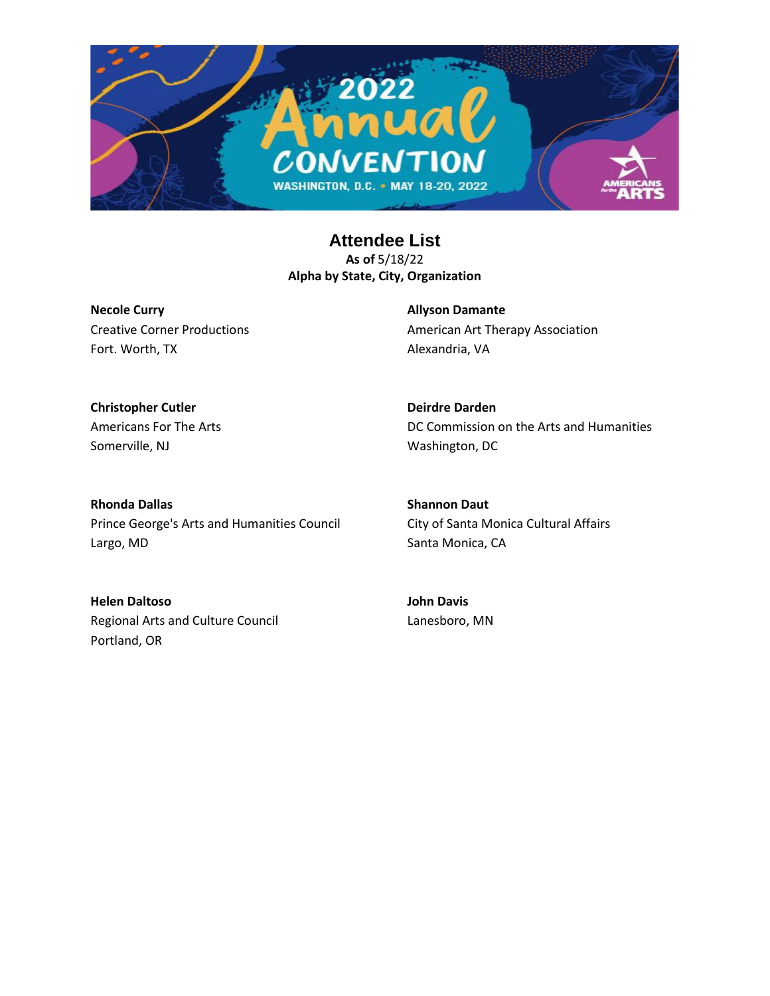

**Necole Curry** Creative Corner Productions Fort. Worth, TX

**Allyson Damante** American Art Therapy Association Alexandria, VA

**Christopher Cutler** Americans For The Arts Somerville, NJ

**Deirdre Darden** DC Commission on the Arts and Humanities Washington, DC

**Rhonda Dallas** Prince George's Arts and Humanities Council Largo, MD

**Shannon Daut** City of Santa Monica Cultural Affairs Santa Monica, CA

**Helen Daltoso** Regional Arts and Culture Council Portland, OR

**John Davis** Lanesboro, MN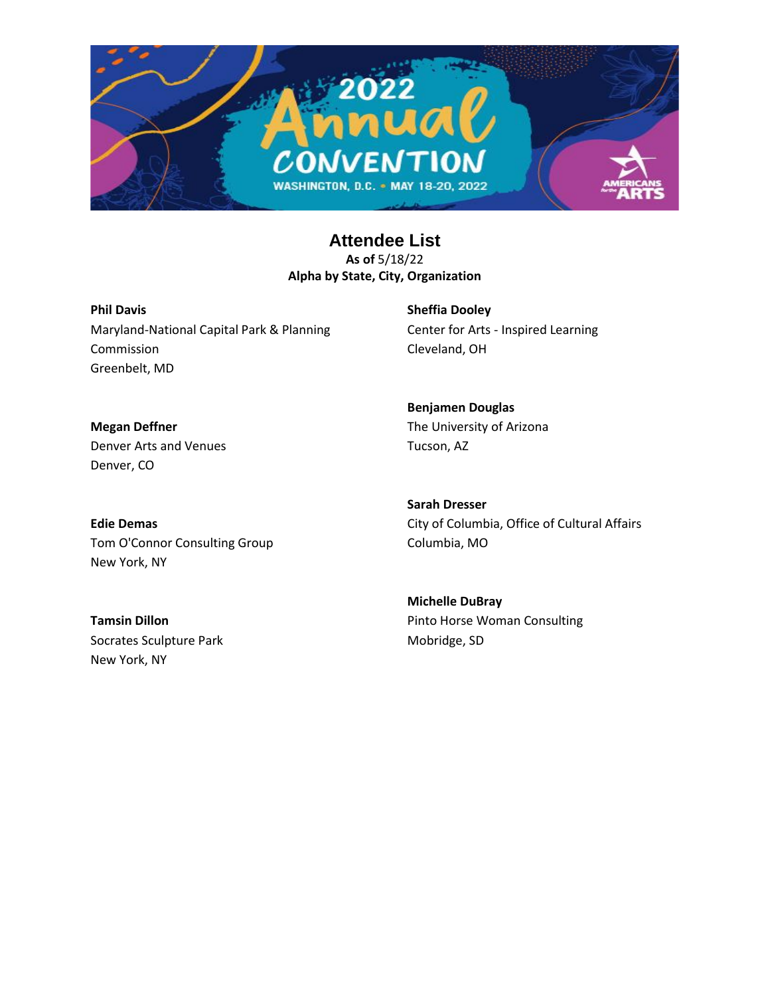

**Phil Davis** Maryland-National Capital Park & Planning Commission Greenbelt, MD

**Sheffia Dooley** Center for Arts - Inspired Learning Cleveland, OH

**Megan Deffner** Denver Arts and Venues Denver, CO

**Benjamen Douglas** The University of Arizona Tucson, AZ

**Edie Demas** Tom O'Connor Consulting Group New York, NY

**Sarah Dresser** City of Columbia, Office of Cultural Affairs Columbia, MO

**Tamsin Dillon** Socrates Sculpture Park New York, NY

**Michelle DuBray** Pinto Horse Woman Consulting Mobridge, SD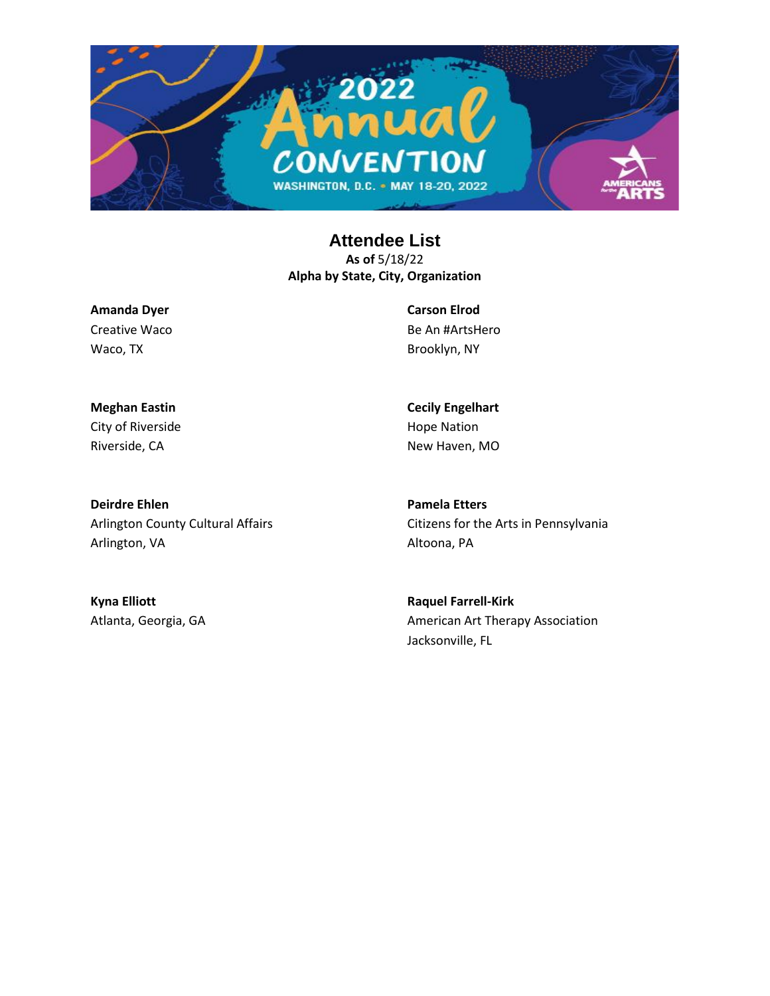

**Amanda Dyer** Creative Waco Waco, TX

**Carson Elrod** Be An #ArtsHero Brooklyn, NY

**Cecily Engelhart** Hope Nation New Haven, MO

**Meghan Eastin** City of Riverside Riverside, CA

**Deirdre Ehlen** Arlington County Cultural Affairs Arlington, VA

**Pamela Etters** Citizens for the Arts in Pennsylvania Altoona, PA

**Kyna Elliott** Atlanta, Georgia, GA

**Raquel Farrell-Kirk** American Art Therapy Association Jacksonville, FL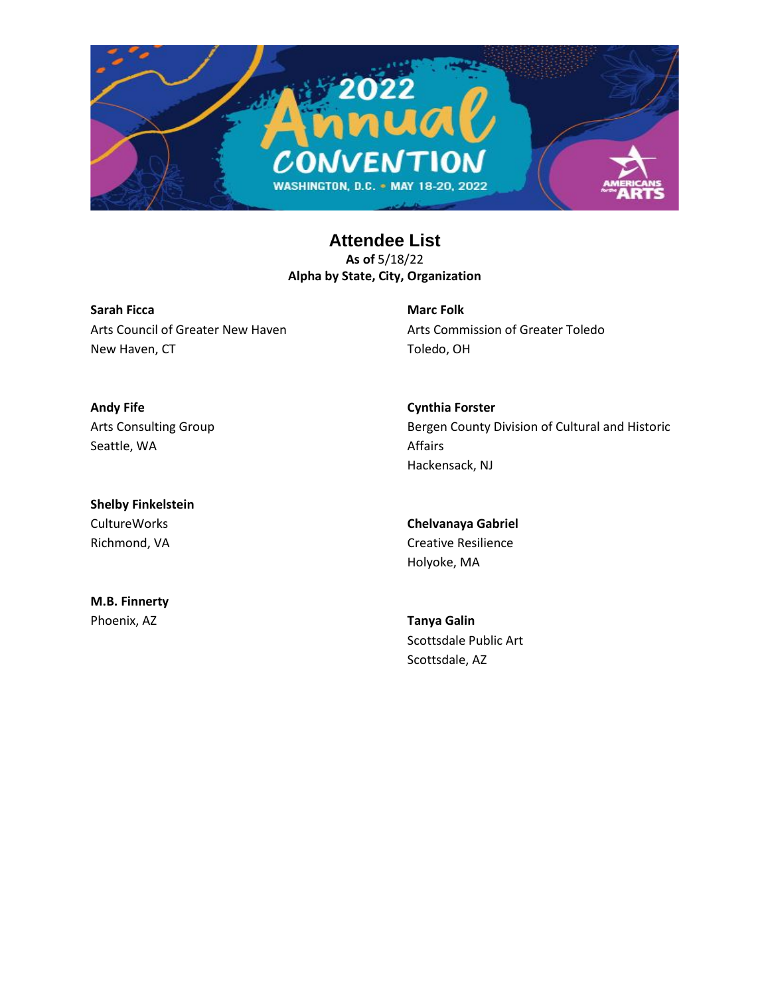

**Sarah Ficca** Arts Council of Greater New Haven New Haven, CT

**Marc Folk** Arts Commission of Greater Toledo Toledo, OH

**Andy Fife** Arts Consulting Group Seattle, WA

**Shelby Finkelstein** CultureWorks Richmond, VA

**M.B. Finnerty** Phoenix, AZ

**Cynthia Forster** Bergen County Division of Cultural and Historic Affairs Hackensack, NJ

**Chelvanaya Gabriel** Creative Resilience Holyoke, MA

**Tanya Galin** Scottsdale Public Art Scottsdale, AZ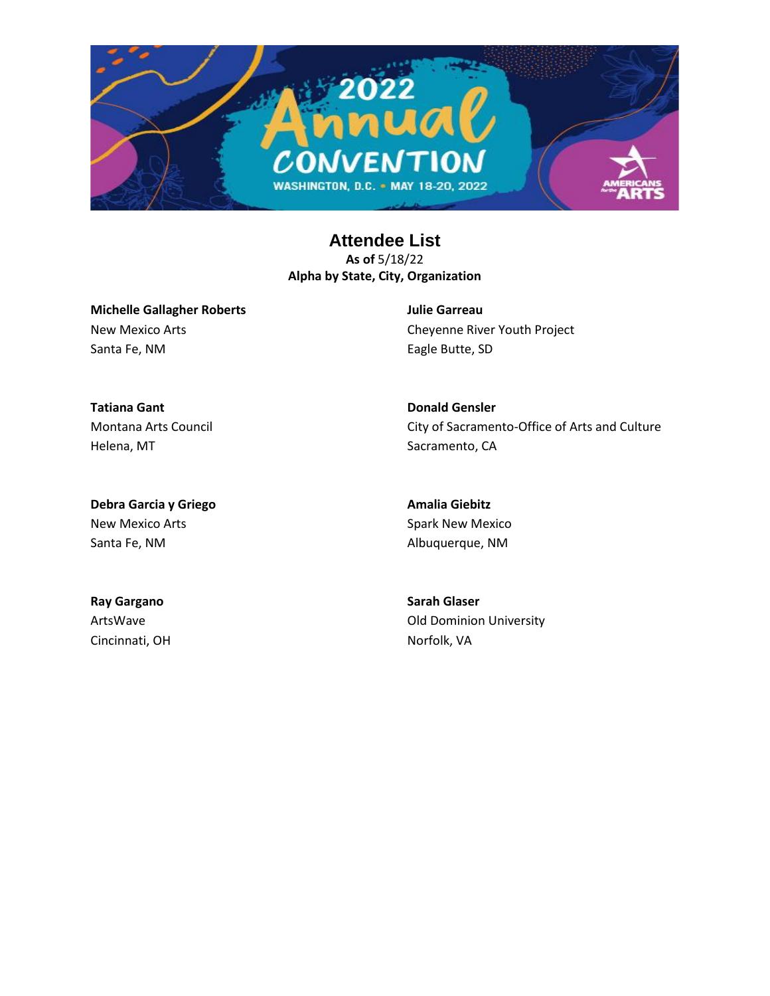

**Michelle Gallagher Roberts** New Mexico Arts Santa Fe, NM

**Julie Garreau** Cheyenne River Youth Project Eagle Butte, SD

City of Sacramento-Office of Arts and Culture

**Tatiana Gant** Montana Arts Council Helena, MT

**Debra Garcia y Griego** New Mexico Arts Santa Fe, NM

**Amalia Giebitz** Spark New Mexico Albuquerque, NM

**Donald Gensler**

Sacramento, CA

**Ray Gargano** ArtsWave Cincinnati, OH **Sarah Glaser** Old Dominion University Norfolk, VA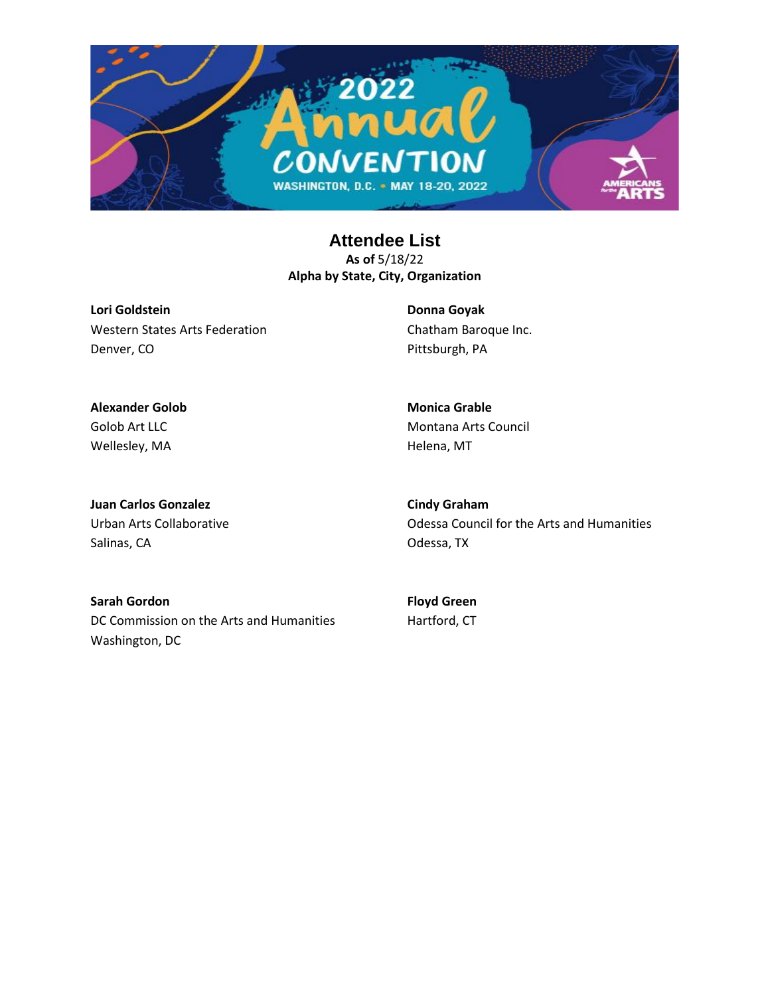

**Lori Goldstein** Western States Arts Federation Denver, CO

**Donna Goyak** Chatham Baroque Inc. Pittsburgh, PA

**Alexander Golob** Golob Art LLC Wellesley, MA

**Monica Grable** Montana Arts Council Helena, MT

**Juan Carlos Gonzalez** Urban Arts Collaborative Salinas, CA

**Cindy Graham** Odessa Council for the Arts and Humanities Odessa, TX

**Sarah Gordon** DC Commission on the Arts and Humanities Washington, DC

**Floyd Green** Hartford, CT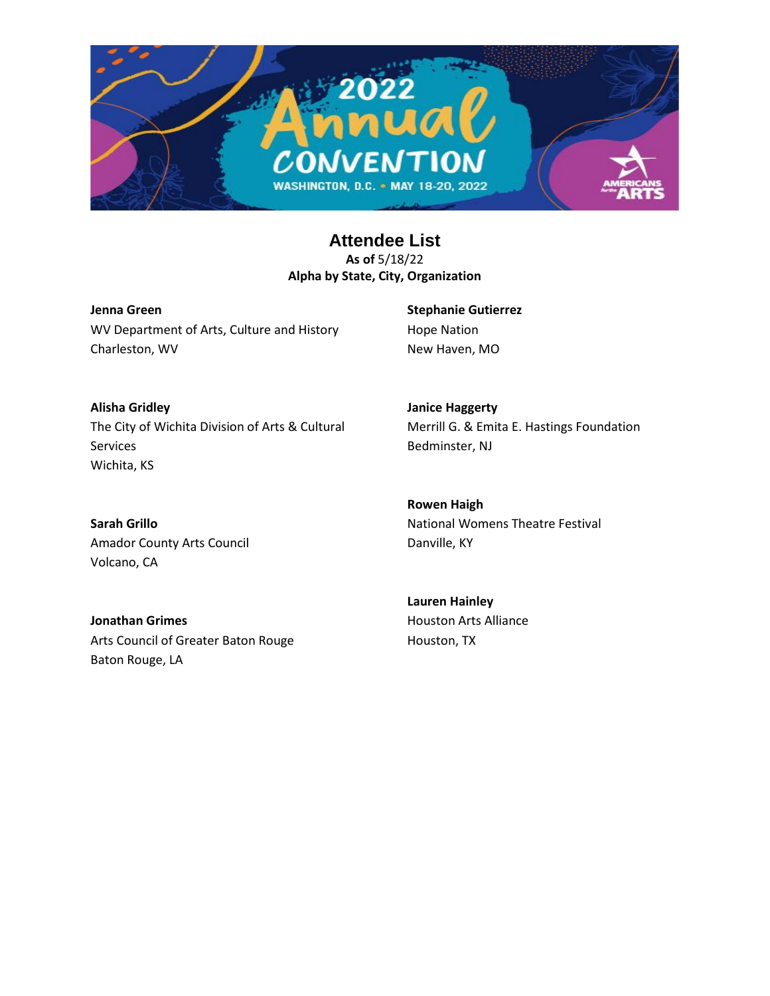

**Jenna Green** WV Department of Arts, Culture and History Charleston, WV

**Stephanie Gutierrez** Hope Nation New Haven, MO

**Janice Haggerty**

**Alisha Gridley** The City of Wichita Division of Arts & Cultural Services Wichita, KS

**Sarah Grillo** Amador County Arts Council Volcano, CA

Bedminster, NJ **Rowen Haigh**

Merrill G. & Emita E. Hastings Foundation

National Womens Theatre Festival Danville, KY

**Jonathan Grimes** Arts Council of Greater Baton Rouge Baton Rouge, LA

**Lauren Hainley** Houston Arts Alliance Houston, TX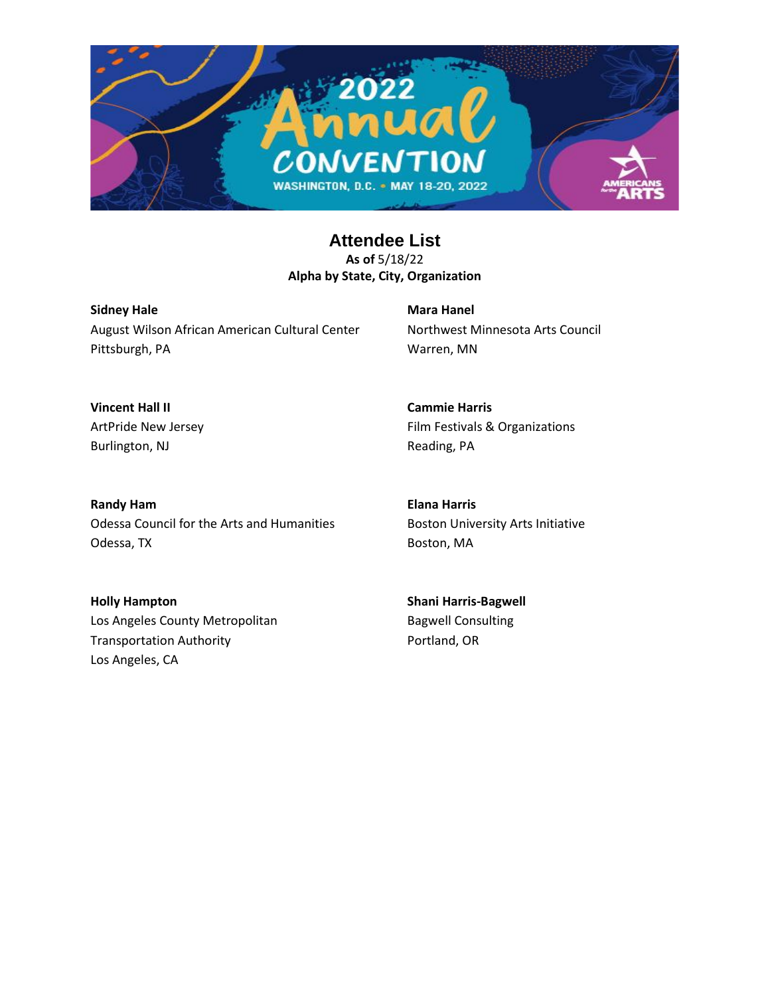

**Sidney Hale** August Wilson African American Cultural Center Pittsburgh, PA

**Mara Hanel** Northwest Minnesota Arts Council Warren, MN

**Vincent Hall II** ArtPride New Jersey Burlington, NJ

**Cammie Harris** Film Festivals & Organizations Reading, PA

**Randy Ham** Odessa Council for the Arts and Humanities Odessa, TX

**Elana Harris** Boston University Arts Initiative Boston, MA

**Holly Hampton** Los Angeles County Metropolitan Transportation Authority Los Angeles, CA

**Shani Harris-Bagwell** Bagwell Consulting Portland, OR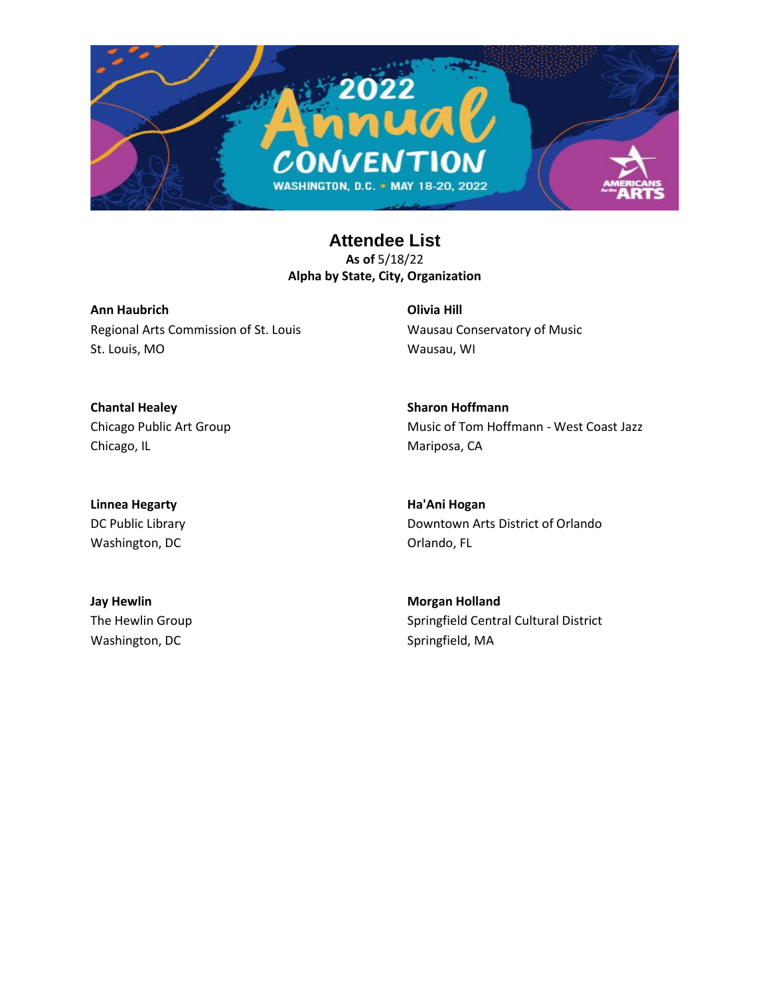

**Ann Haubrich** Regional Arts Commission of St. Louis St. Louis, MO

**Olivia Hill** Wausau Conservatory of Music Wausau, WI

**Chantal Healey** Chicago Public Art Group Chicago, IL

**Sharon Hoffmann** Music of Tom Hoffmann - West Coast Jazz Mariposa, CA

**Linnea Hegarty** DC Public Library Washington, DC

**Ha'Ani Hogan** Downtown Arts District of Orlando Orlando, FL

**Jay Hewlin** The Hewlin Group Washington, DC

**Morgan Holland** Springfield Central Cultural District Springfield, MA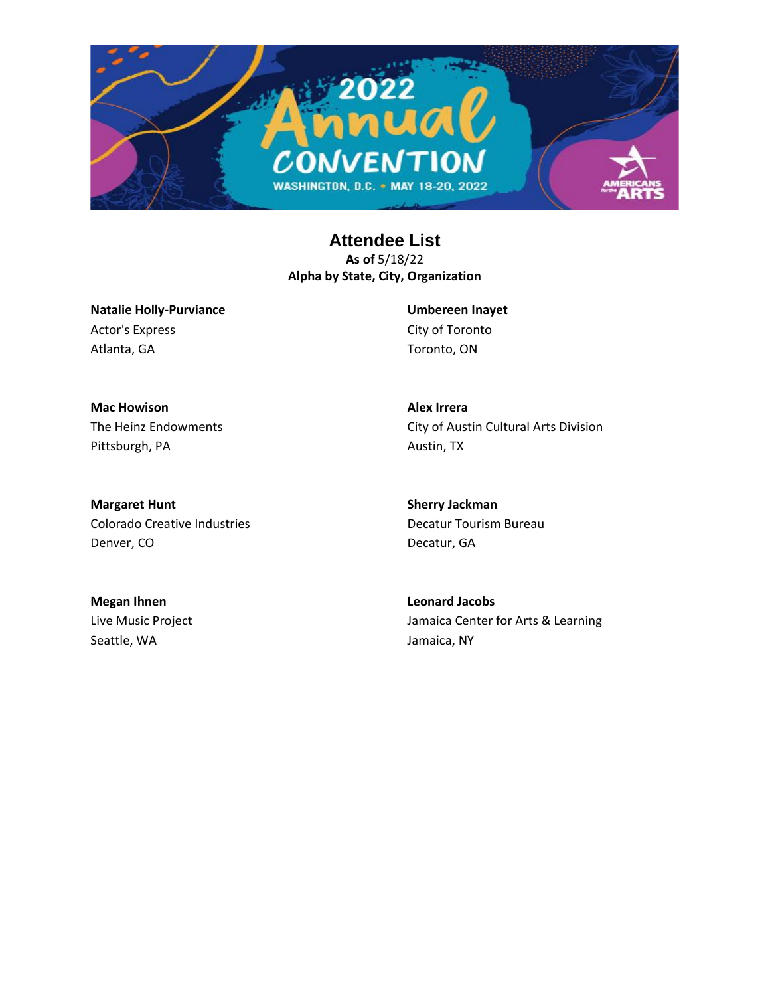

**Natalie Holly-Purviance** Actor's Express Atlanta, GA

**Umbereen Inayet** City of Toronto Toronto, ON

**Alex Irrera**

Austin, TX

**Mac Howison** The Heinz Endowments Pittsburgh, PA

**Margaret Hunt** Colorado Creative Industries Denver, CO

**Sherry Jackman**

City of Austin Cultural Arts Division

Decatur Tourism Bureau Decatur, GA

**Megan Ihnen** Live Music Project Seattle, WA

**Leonard Jacobs** Jamaica Center for Arts & Learning Jamaica, NY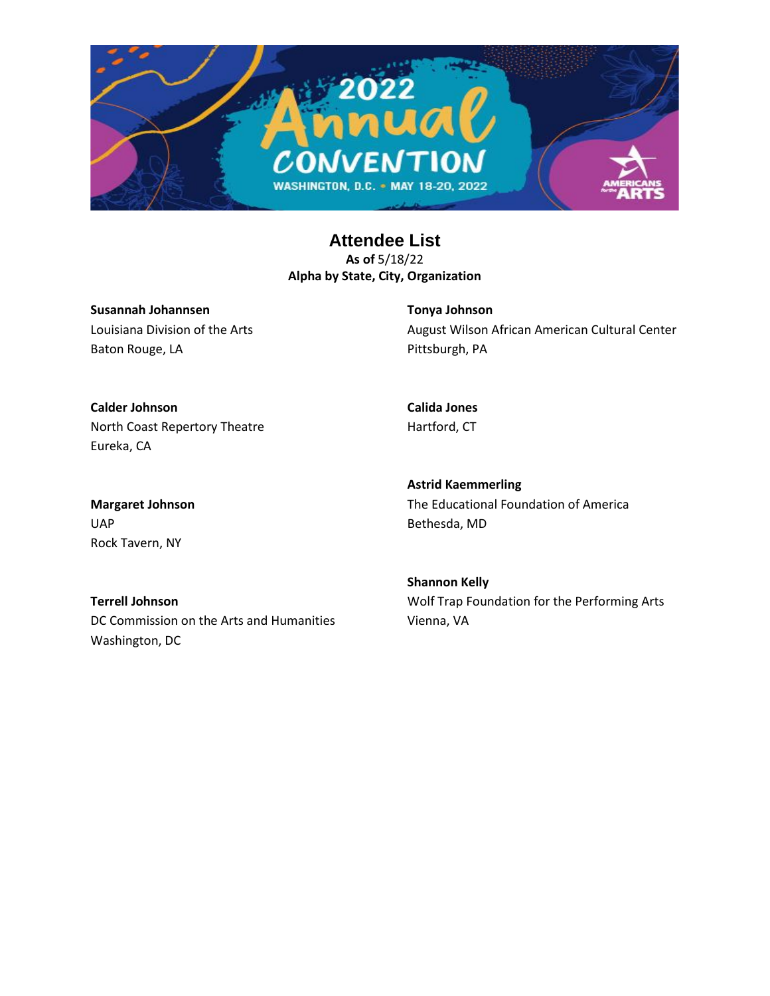

**Susannah Johannsen** Louisiana Division of the Arts Baton Rouge, LA

**Tonya Johnson** August Wilson African American Cultural Center Pittsburgh, PA

**Calder Johnson** North Coast Repertory Theatre Eureka, CA

**Calida Jones** Hartford, CT

**Margaret Johnson** UAP Rock Tavern, NY

**Astrid Kaemmerling** The Educational Foundation of America Bethesda, MD

**Terrell Johnson** DC Commission on the Arts and Humanities Washington, DC

**Shannon Kelly** Wolf Trap Foundation for the Performing Arts Vienna, VA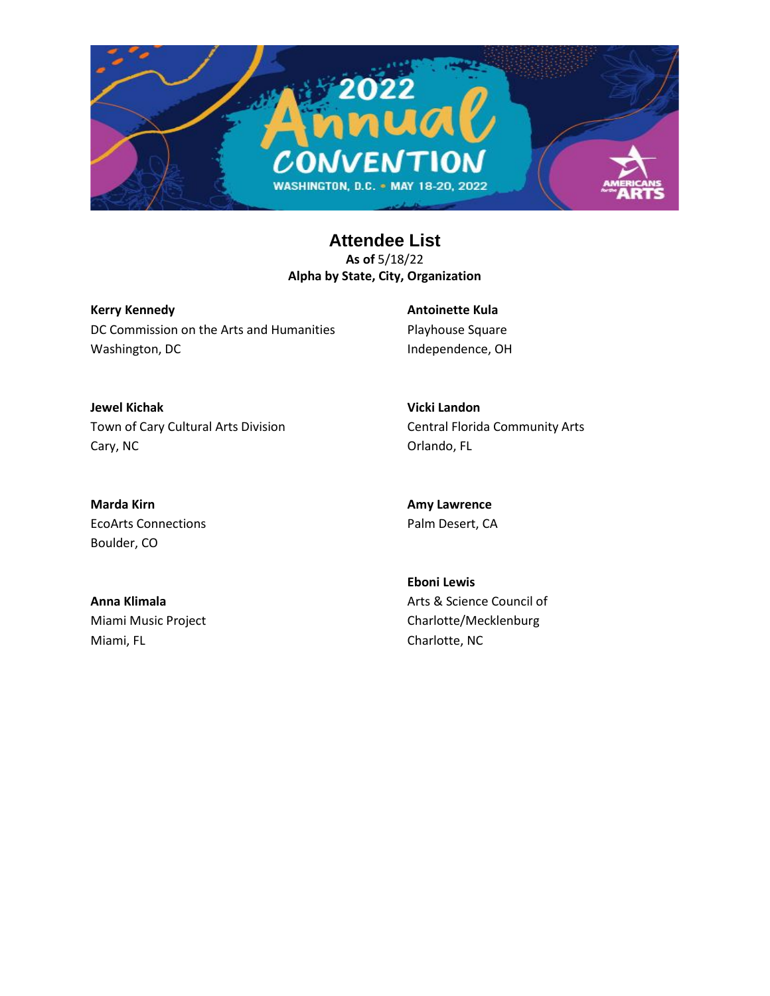

**Kerry Kennedy** DC Commission on the Arts and Humanities Washington, DC

**Antoinette Kula** Playhouse Square Independence, OH

**Jewel Kichak** Town of Cary Cultural Arts Division Cary, NC

**Vicki Landon** Central Florida Community Arts Orlando, FL

**Marda Kirn** EcoArts Connections Boulder, CO

**Anna Klimala** Miami Music Project Miami, FL

**Amy Lawrence** Palm Desert, CA

**Eboni Lewis** Arts & Science Council of Charlotte/Mecklenburg Charlotte, NC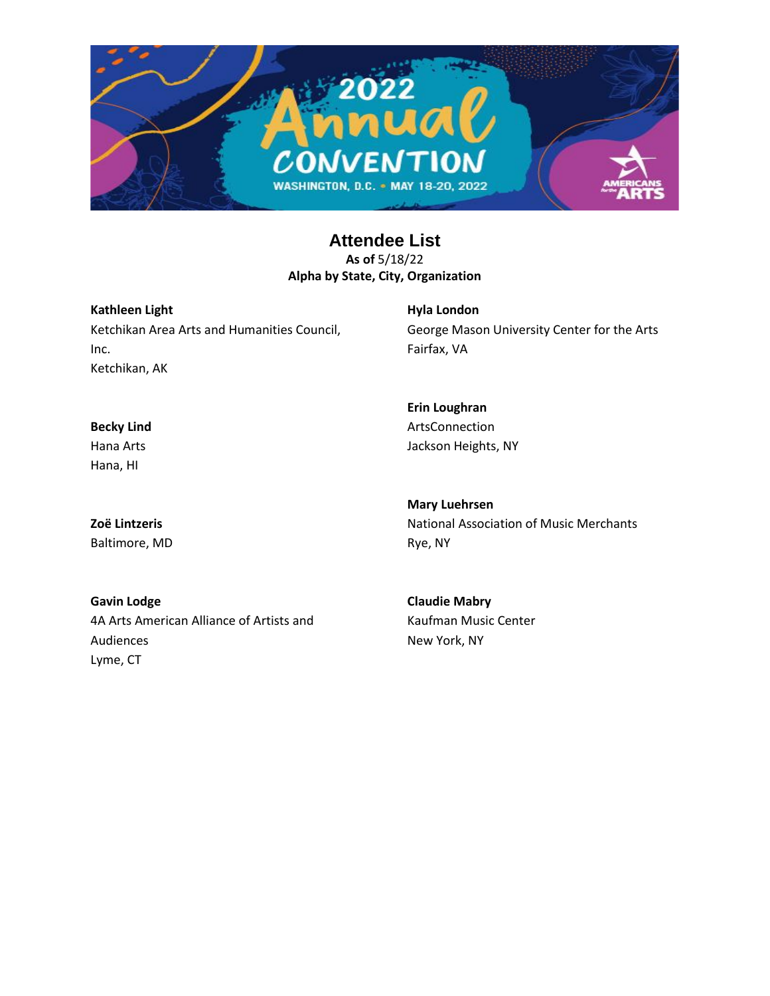

**Kathleen Light** Ketchikan Area Arts and Humanities Council, Inc. Ketchikan, AK

**Hyla London** George Mason University Center for the Arts Fairfax, VA

**Erin Loughran** ArtsConnection Jackson Heights, NY

**Mary Luehrsen** National Association of Music Merchants Rye, NY

**Gavin Lodge** 4A Arts American Alliance of Artists and Audiences Lyme, CT

**Claudie Mabry** Kaufman Music Center New York, NY

**Becky Lind** Hana Arts Hana, HI

**Zoë Lintzeris** Baltimore, MD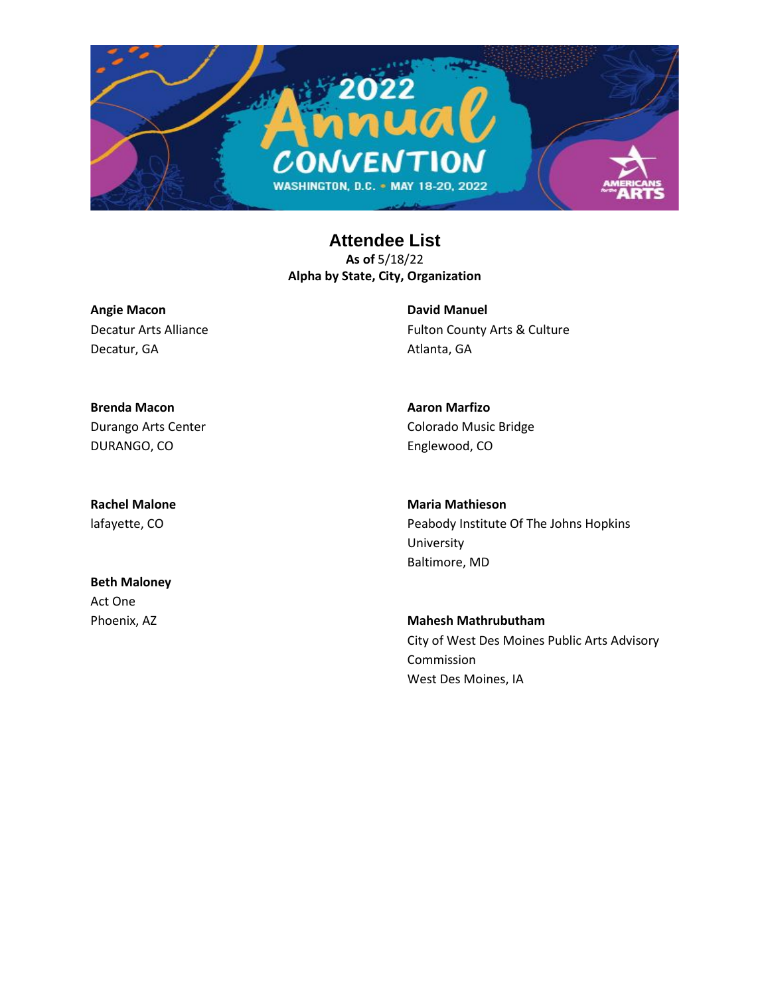

**Angie Macon** Decatur Arts Alliance Decatur, GA

**David Manuel** Fulton County Arts & Culture Atlanta, GA

**Brenda Macon** Durango Arts Center DURANGO, CO

**Rachel Malone** lafayette, CO

**Beth Maloney** Act One Phoenix, AZ

**Aaron Marfizo** Colorado Music Bridge Englewood, CO

**Maria Mathieson** Peabody Institute Of The Johns Hopkins University Baltimore, MD

**Mahesh Mathrubutham** City of West Des Moines Public Arts Advisory Commission West Des Moines, IA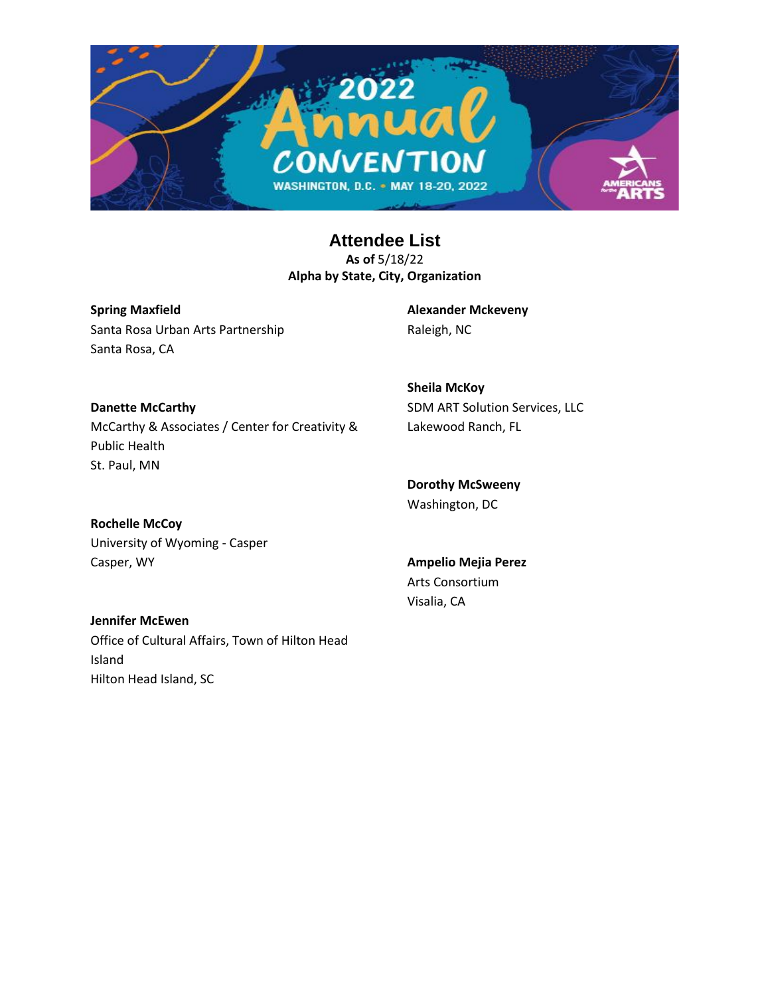

**Spring Maxfield** Santa Rosa Urban Arts Partnership Santa Rosa, CA

**Alexander Mckeveny** Raleigh, NC

**Danette McCarthy** McCarthy & Associates / Center for Creativity & Public Health St. Paul, MN

**Sheila McKoy** SDM ART Solution Services, LLC Lakewood Ranch, FL

**Dorothy McSweeny** Washington, DC

**Rochelle McCoy** University of Wyoming - Casper Casper, WY

Hilton Head Island, SC

**Jennifer McEwen** Office of Cultural Affairs, Town of Hilton Head Island

**Ampelio Mejia Perez** Arts Consortium

Visalia, CA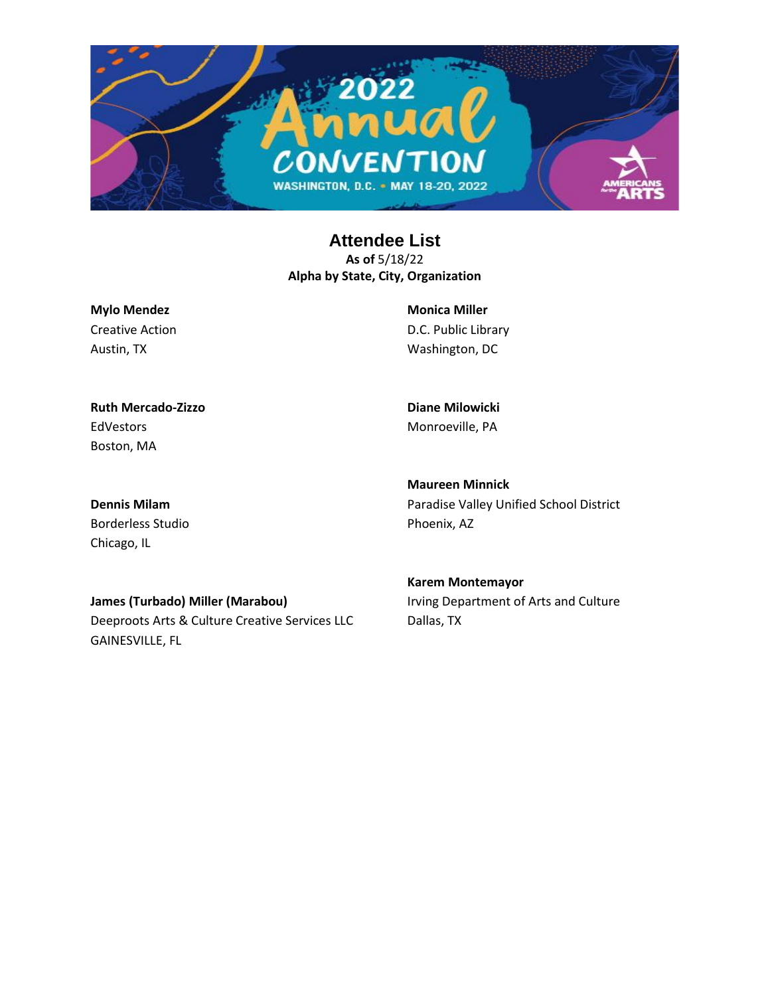

**Mylo Mendez** Creative Action Austin, TX

**Monica Miller** D.C. Public Library Washington, DC

**Ruth Mercado-Zizzo** EdVestors Boston, MA

**Diane Milowicki** Monroeville, PA

**Maureen Minnick**

Phoenix, AZ

**Dennis Milam** Borderless Studio Chicago, IL

> **Karem Montemayor** Irving Department of Arts and Culture Dallas, TX

> Paradise Valley Unified School District

**James (Turbado) Miller (Marabou)**

Deeproots Arts & Culture Creative Services LLC GAINESVILLE, FL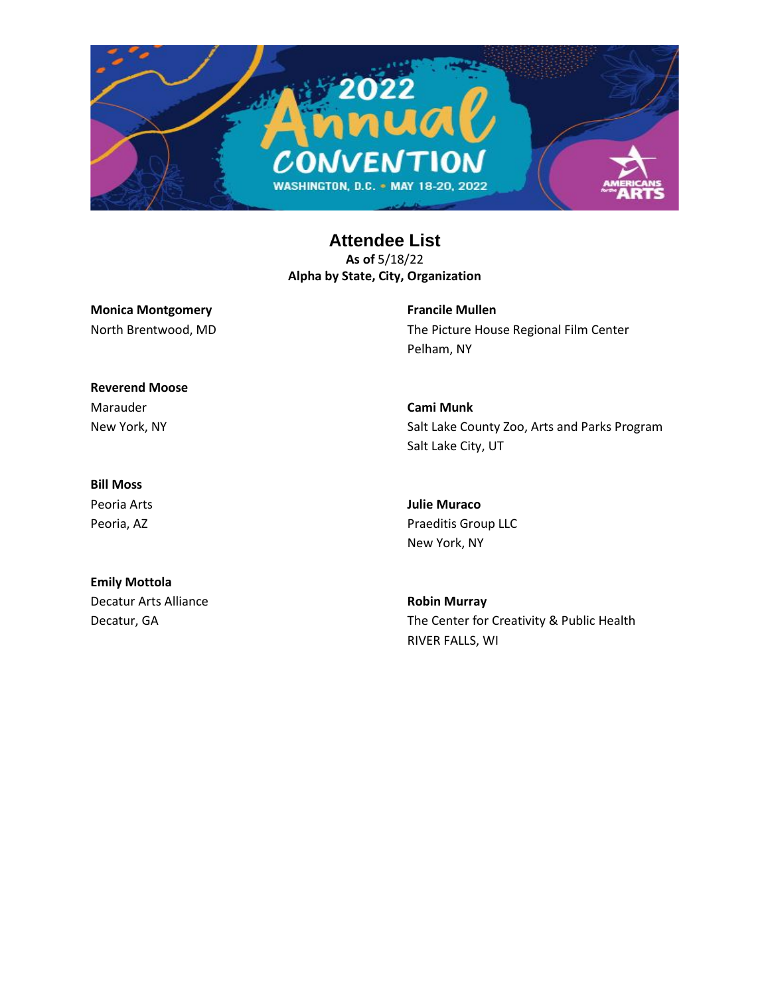

## **Monica Montgomery** North Brentwood, MD

**Francile Mullen** The Picture House Regional Film Center Pelham, NY

Salt Lake County Zoo, Arts and Parks Program

**Reverend Moose** Marauder New York, NY

### **Bill Moss**

Peoria Arts Peoria, AZ

## **Emily Mottola**

Decatur Arts Alliance Decatur, GA

**Julie Muraco**

Praeditis Group LLC New York, NY

**Cami Munk**

Salt Lake City, UT

**Robin Murray** The Center for Creativity & Public Health RIVER FALLS, WI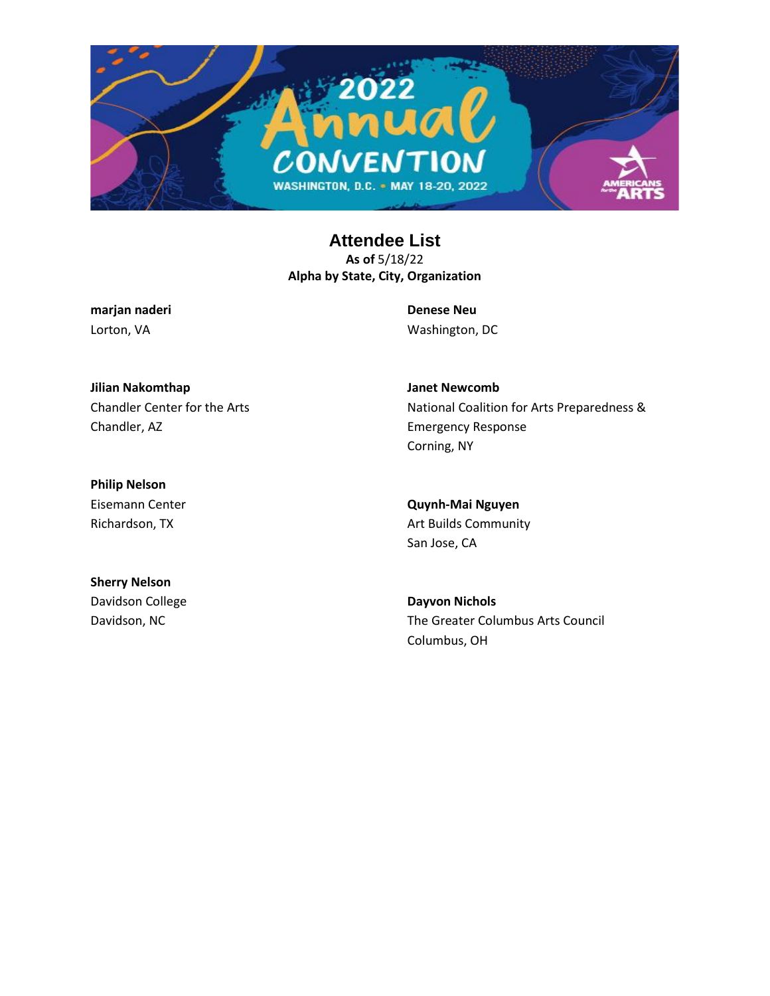

**marjan naderi** Lorton, VA

**Denese Neu** Washington, DC

**Janet Newcomb**

Corning, NY

Emergency Response

**Jilian Nakomthap** Chandler Center for the Arts Chandler, AZ

**Philip Nelson** Eisemann Center Richardson, TX

**Quynh-Mai Nguyen** Art Builds Community San Jose, CA

**Sherry Nelson** Davidson College Davidson, NC

**Dayvon Nichols** The Greater Columbus Arts Council Columbus, OH

National Coalition for Arts Preparedness &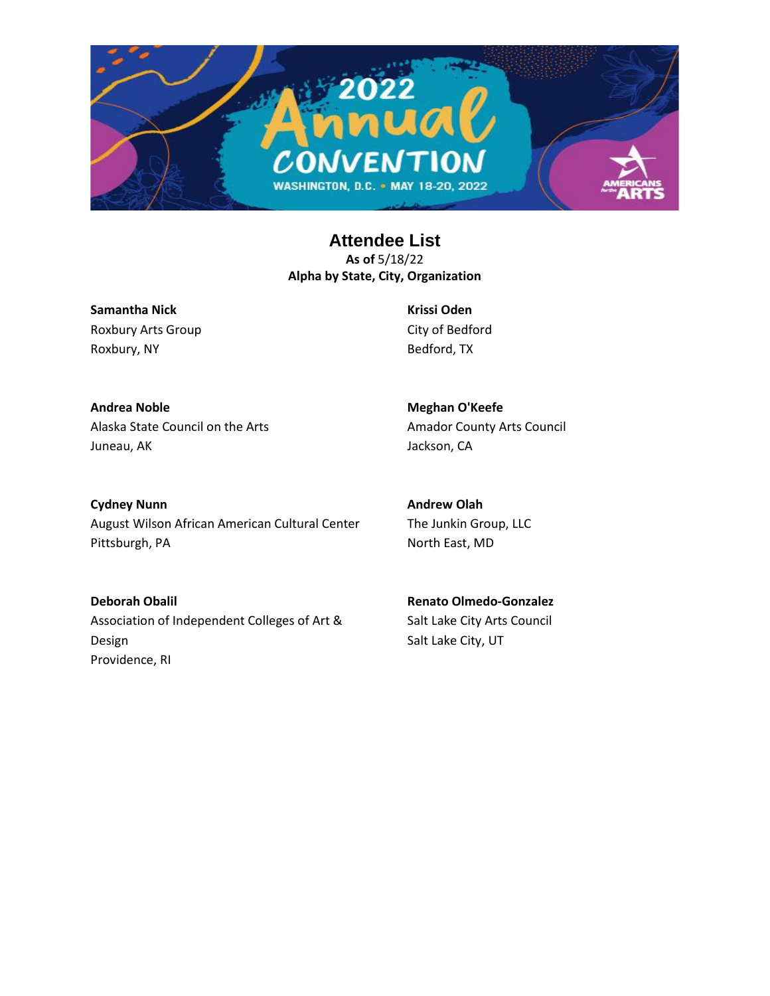

**Samantha Nick** Roxbury Arts Group Roxbury, NY

**Krissi Oden** City of Bedford Bedford, TX

**Andrea Noble** Alaska State Council on the Arts Juneau, AK

**Meghan O'Keefe** Amador County Arts Council Jackson, CA

**Cydney Nunn** August Wilson African American Cultural Center Pittsburgh, PA

**Andrew Olah** The Junkin Group, LLC North East, MD

**Deborah Obalil** Association of Independent Colleges of Art & Design Providence, RI

**Renato Olmedo-Gonzalez** Salt Lake City Arts Council Salt Lake City, UT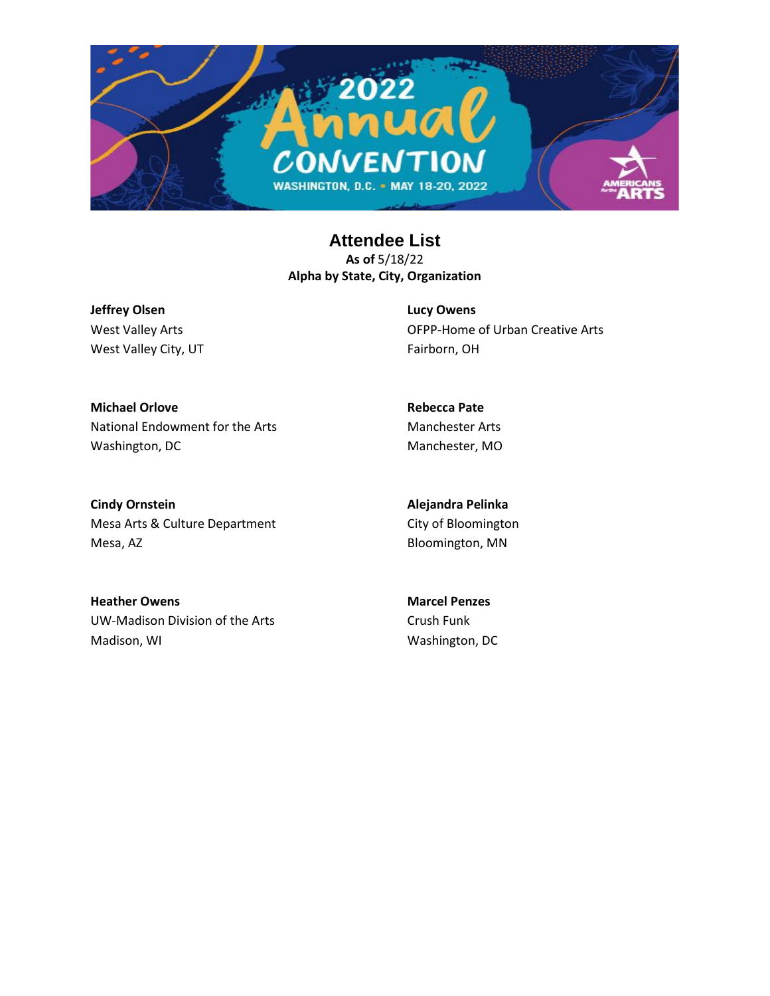

**Jeffrey Olsen** West Valley Arts West Valley City, UT **Lucy Owens** OFPP-Home of Urban Creative Arts Fairborn, OH

**Michael Orlove** National Endowment for the Arts Washington, DC

**Rebecca Pate** Manchester Arts Manchester, MO

**Cindy Ornstein** Mesa Arts & Culture Department Mesa, AZ

**Alejandra Pelinka** City of Bloomington Bloomington, MN

**Heather Owens** UW-Madison Division of the Arts Madison, WI

**Marcel Penzes** Crush Funk Washington, DC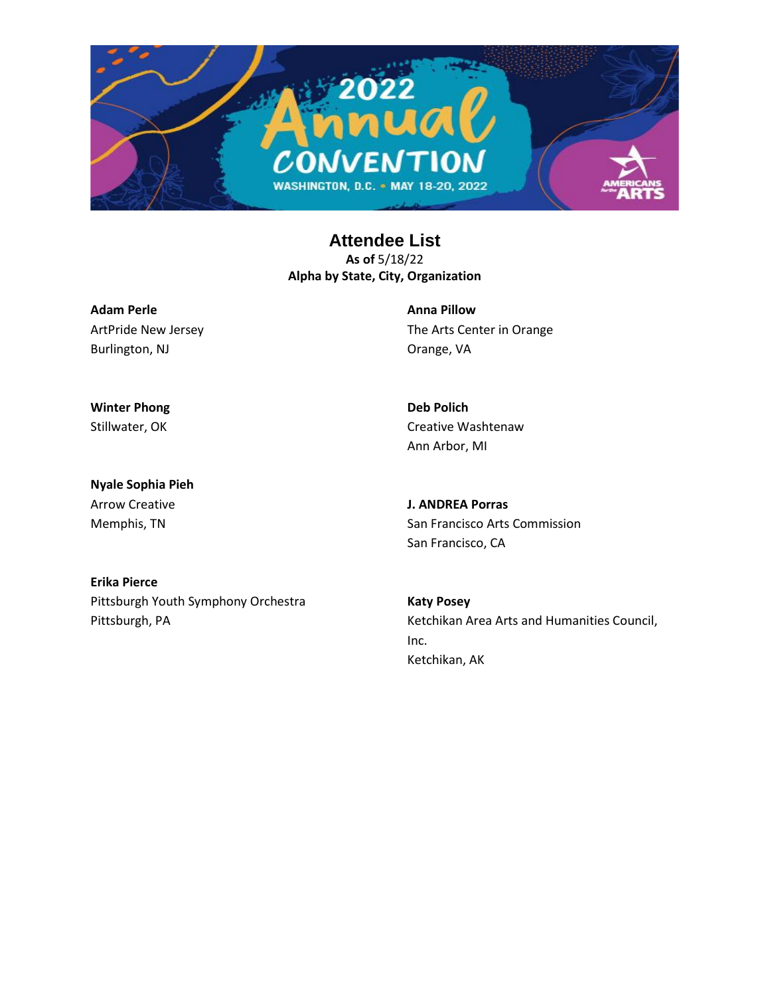

**Adam Perle** ArtPride New Jersey Burlington, NJ

**Anna Pillow** The Arts Center in Orange Orange, VA

**Deb Polich**

Ann Arbor, MI

Creative Washtenaw

**Winter Phong** Stillwater, OK

**Nyale Sophia Pieh** Arrow Creative Memphis, TN

**J. ANDREA Porras** San Francisco Arts Commission

San Francisco, CA

**Erika Pierce** Pittsburgh Youth Symphony Orchestra Pittsburgh, PA

**Katy Posey** Ketchikan Area Arts and Humanities Council, Inc. Ketchikan, AK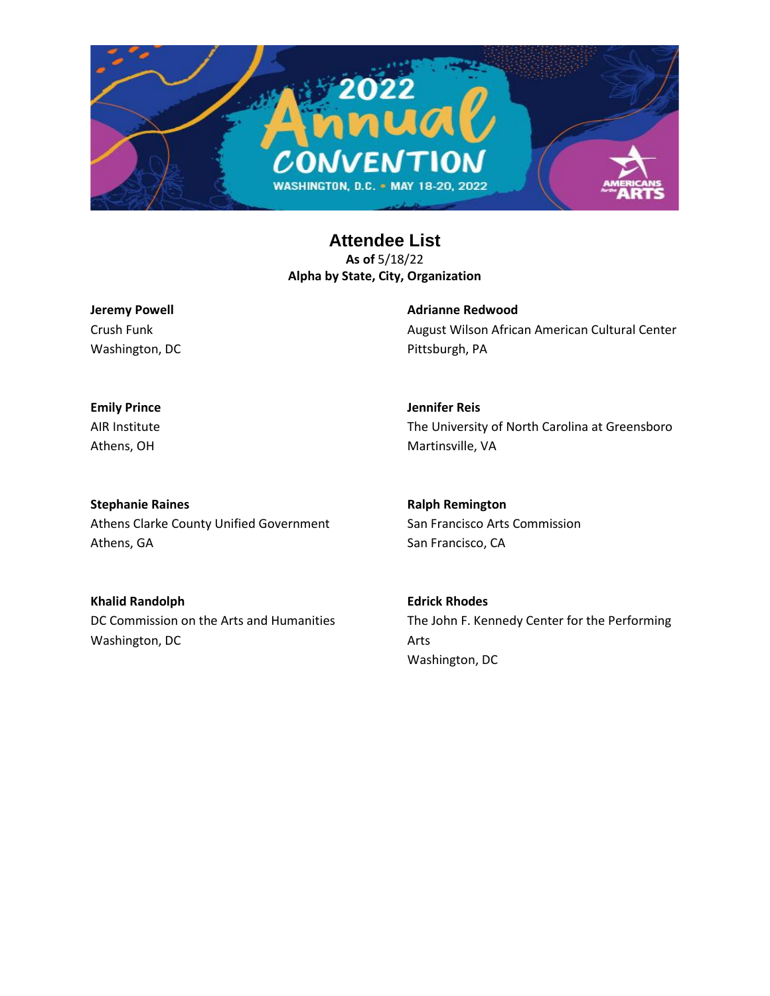

**Jeremy Powell** Crush Funk Washington, DC **Adrianne Redwood** August Wilson African American Cultural Center Pittsburgh, PA

**Emily Prince** AIR Institute Athens, OH

**Jennifer Reis** The University of North Carolina at Greensboro Martinsville, VA

**Stephanie Raines** Athens Clarke County Unified Government Athens, GA

**Khalid Randolph** DC Commission on the Arts and Humanities Washington, DC

**Ralph Remington** San Francisco Arts Commission San Francisco, CA

**Edrick Rhodes** The John F. Kennedy Center for the Performing Arts Washington, DC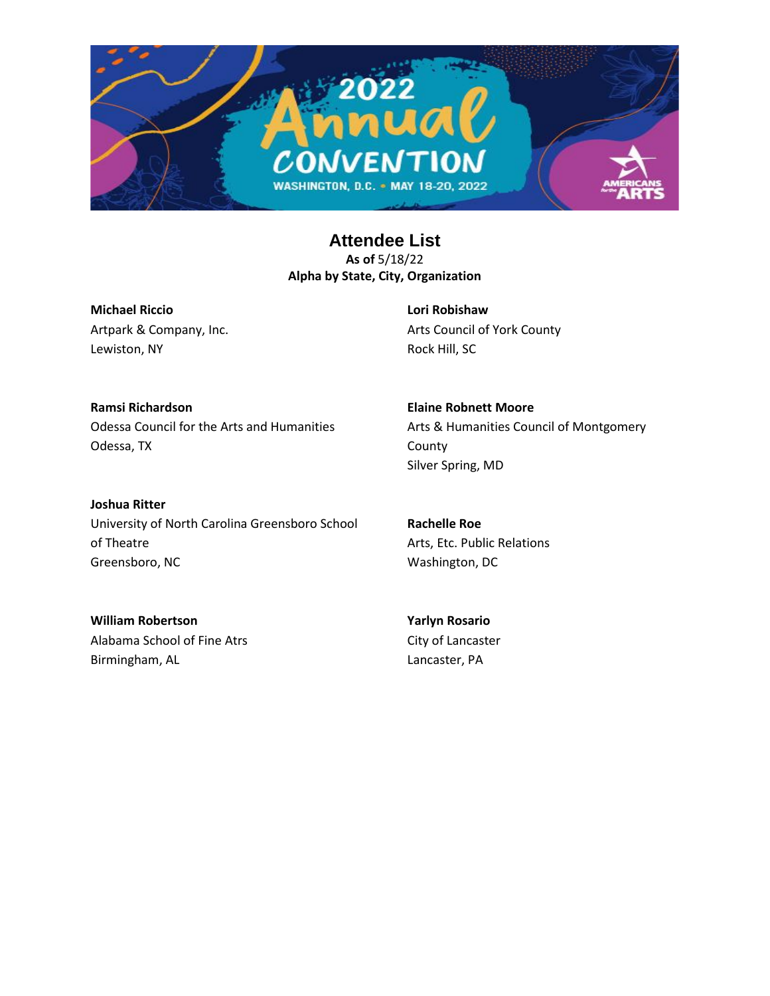

**Michael Riccio** Artpark & Company, Inc. Lewiston, NY

**Lori Robishaw** Arts Council of York County Rock Hill, SC

**Elaine Robnett Moore**

Silver Spring, MD

County

**Ramsi Richardson** Odessa Council for the Arts and Humanities Odessa, TX

**Joshua Ritter**

University of North Carolina Greensboro School of Theatre Greensboro, NC

**Rachelle Roe** Arts, Etc. Public Relations

Arts & Humanities Council of Montgomery

Washington, DC

**William Robertson** Alabama School of Fine Atrs Birmingham, AL

**Yarlyn Rosario** City of Lancaster Lancaster, PA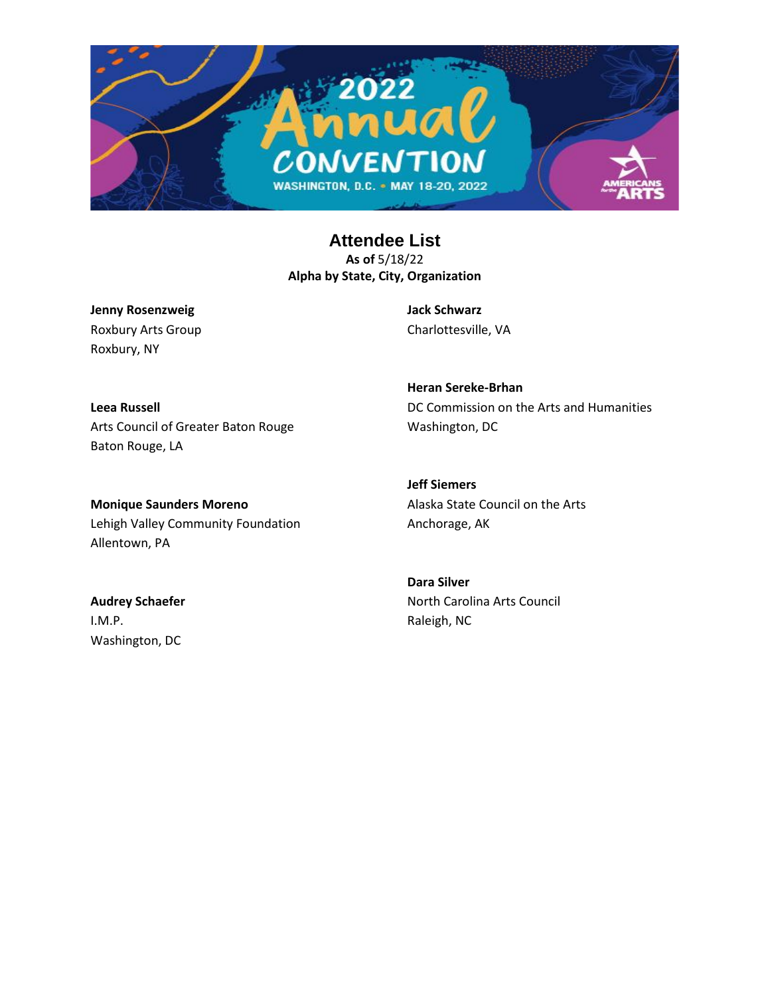

**Jenny Rosenzweig** Roxbury Arts Group Roxbury, NY

**Jack Schwarz** Charlottesville, VA

**Leea Russell** Arts Council of Greater Baton Rouge Baton Rouge, LA

**Monique Saunders Moreno** Lehigh Valley Community Foundation Allentown, PA

**Audrey Schaefer** I.M.P. Washington, DC

**Heran Sereke-Brhan** DC Commission on the Arts and Humanities Washington, DC

**Jeff Siemers** Alaska State Council on the Arts Anchorage, AK

**Dara Silver** North Carolina Arts Council Raleigh, NC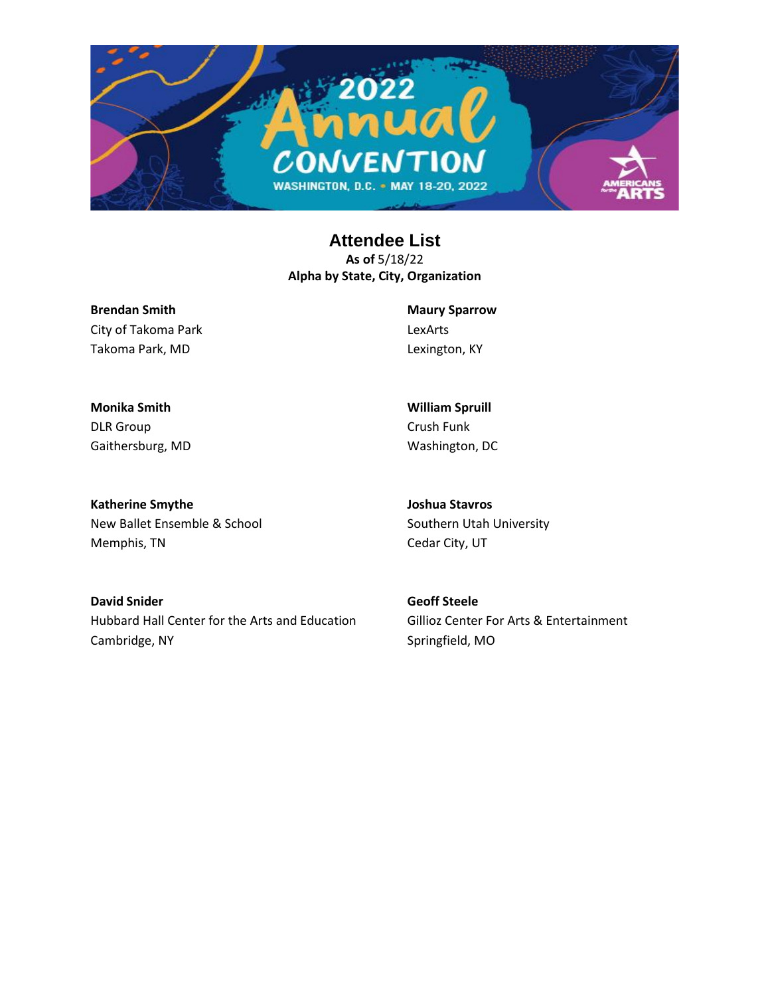

**Brendan Smith** City of Takoma Park Takoma Park, MD

**Maury Sparrow** LexArts Lexington, KY

**William Spruill** Crush Funk Washington, DC

**Monika Smith** DLR Group Gaithersburg, MD

**Katherine Smythe** New Ballet Ensemble & School Memphis, TN

**Joshua Stavros** Southern Utah University Cedar City, UT

**David Snider** Hubbard Hall Center for the Arts and Education Cambridge, NY

**Geoff Steele** Gillioz Center For Arts & Entertainment Springfield, MO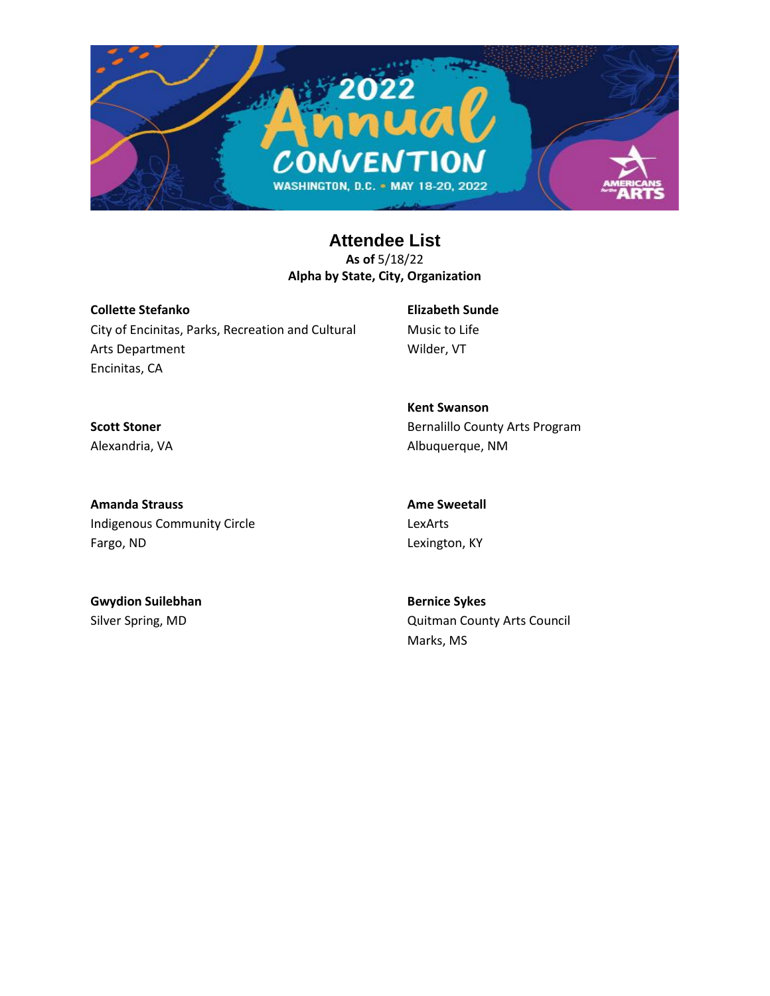

**Collette Stefanko** City of Encinitas, Parks, Recreation and Cultural Arts Department Encinitas, CA

**Elizabeth Sunde** Music to Life Wilder, VT

**Scott Stoner** Alexandria, VA

**Kent Swanson** Bernalillo County Arts Program Albuquerque, NM

**Amanda Strauss** Indigenous Community Circle Fargo, ND

**Ame Sweetall** LexArts Lexington, KY

**Gwydion Suilebhan** Silver Spring, MD

**Bernice Sykes** Quitman County Arts Council Marks, MS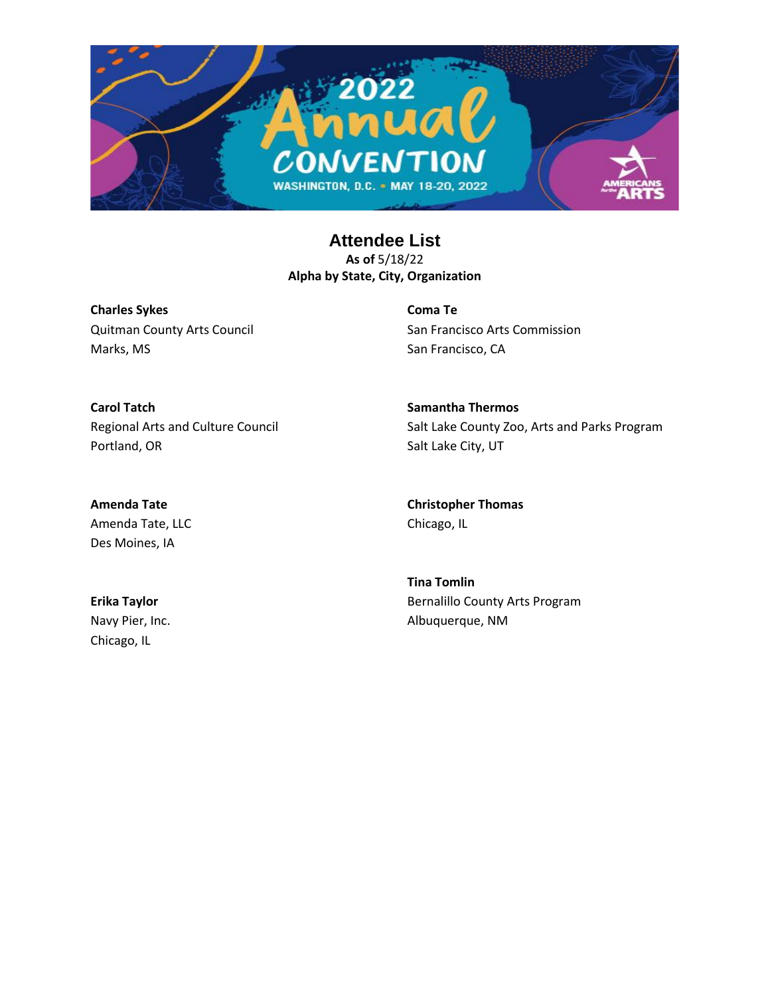

**Charles Sykes** Quitman County Arts Council Marks, MS

**Coma Te** San Francisco Arts Commission San Francisco, CA

**Carol Tatch** Regional Arts and Culture Council Portland, OR

**Amenda Tate** Amenda Tate, LLC **Samantha Thermos** Salt Lake County Zoo, Arts and Parks Program Salt Lake City, UT

**Christopher Thomas** Chicago, IL

**Tina Tomlin** Bernalillo County Arts Program Albuquerque, NM

**Erika Taylor** Navy Pier, Inc. Chicago, IL

Des Moines, IA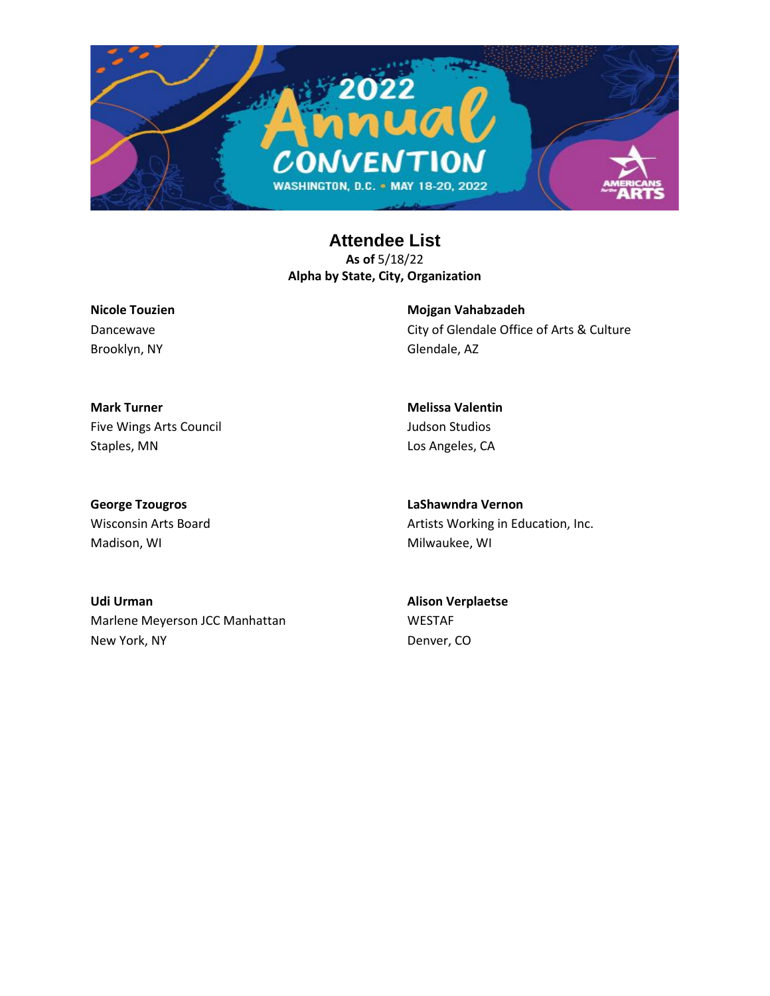

**Nicole Touzien** Dancewave Brooklyn, NY

**Mojgan Vahabzadeh** City of Glendale Office of Arts & Culture Glendale, AZ

**Mark Turner** Five Wings Arts Council Staples, MN

**Melissa Valentin** Judson Studios Los Angeles, CA

**George Tzougros** Wisconsin Arts Board Madison, WI

**LaShawndra Vernon** Artists Working in Education, Inc. Milwaukee, WI

**Udi Urman** Marlene Meyerson JCC Manhattan New York, NY

**Alison Verplaetse** WESTAF Denver, CO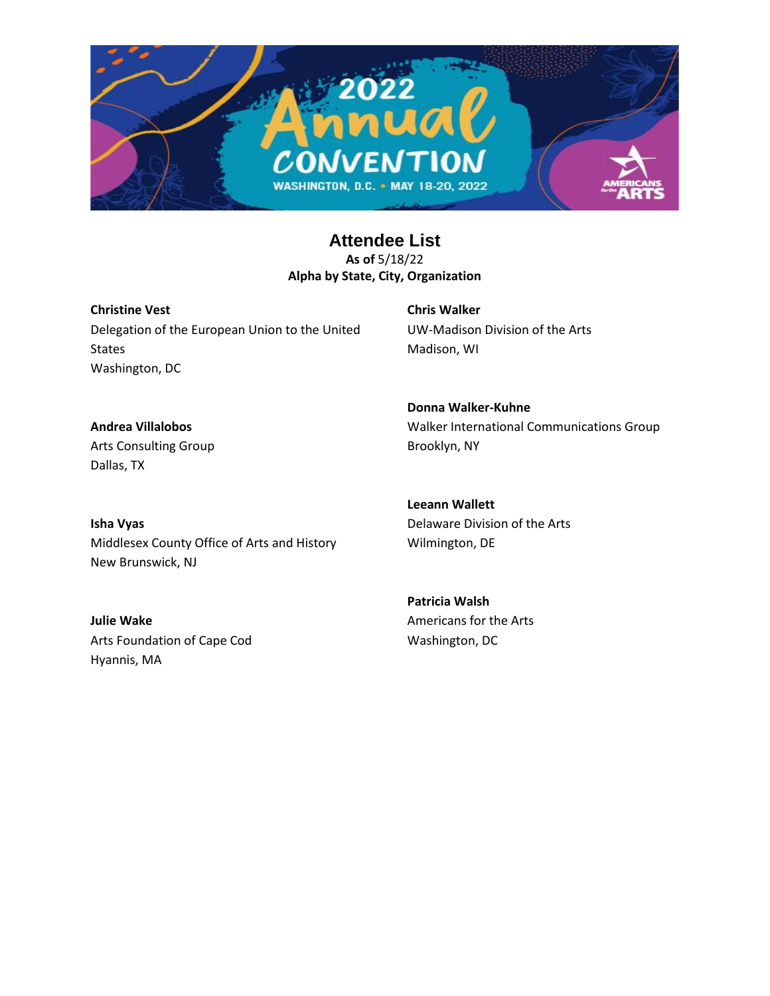

**Christine Vest** Delegation of the European Union to the United **States** Washington, DC

**Chris Walker** UW-Madison Division of the Arts Madison, WI

**Donna Walker-Kuhne**

Brooklyn, NY

**Andrea Villalobos** Arts Consulting Group Dallas, TX

**Isha Vyas** Middlesex County Office of Arts and History New Brunswick, NJ

**Leeann Wallett** Delaware Division of the Arts

Walker International Communications Group

**Patricia Walsh** Americans for the Arts Washington, DC

Wilmington, DE

**Julie Wake** Arts Foundation of Cape Cod Hyannis, MA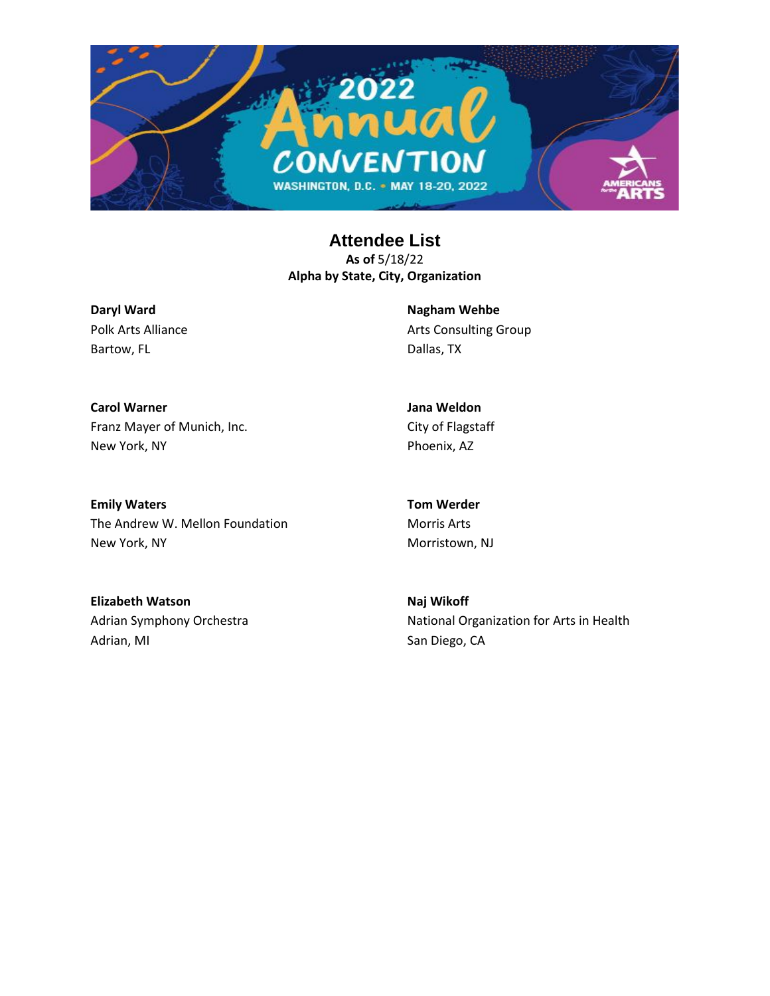

**Daryl Ward** Polk Arts Alliance Bartow, FL

**Nagham Wehbe** Arts Consulting Group Dallas, TX

**Carol Warner** Franz Mayer of Munich, Inc. New York, NY

**Jana Weldon** City of Flagstaff Phoenix, AZ

**Emily Waters** The Andrew W. Mellon Foundation New York, NY

**Tom Werder** Morris Arts Morristown, NJ

**Elizabeth Watson** Adrian Symphony Orchestra Adrian, MI

**Naj Wikoff** National Organization for Arts in Health San Diego, CA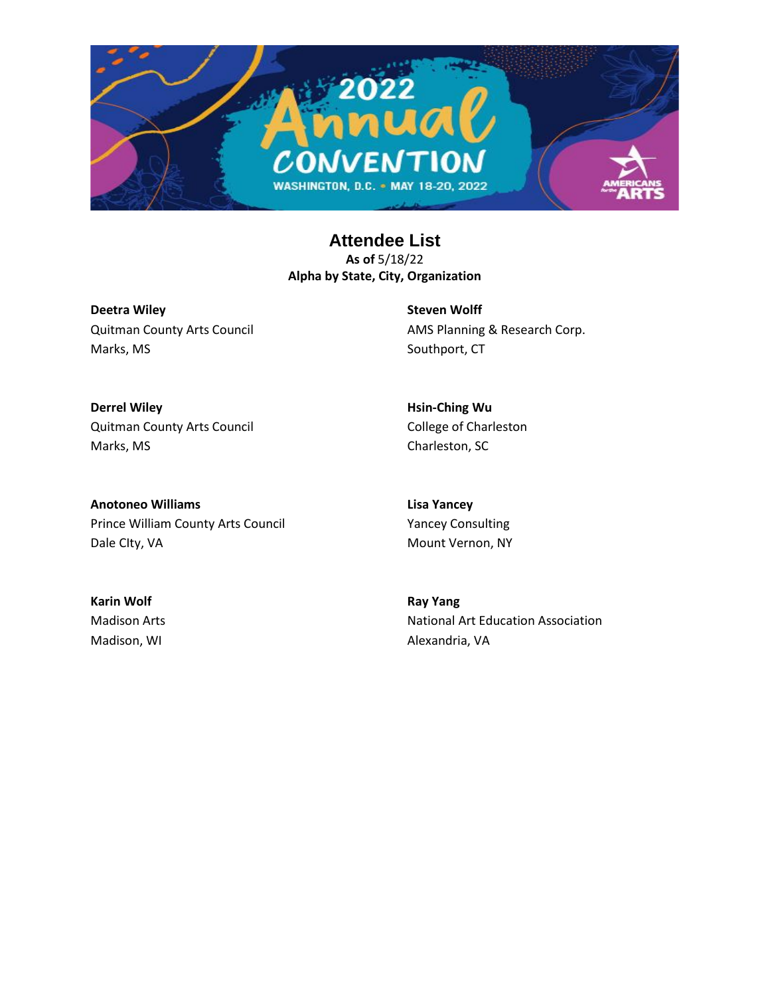

**Deetra Wiley** Quitman County Arts Council Marks, MS

**Steven Wolff** AMS Planning & Research Corp. Southport, CT

**Derrel Wiley** Quitman County Arts Council Marks, MS

**Hsin-Ching Wu** College of Charleston Charleston, SC

**Anotoneo Williams** Prince William County Arts Council Dale CIty, VA

**Lisa Yancey** Yancey Consulting Mount Vernon, NY

**Karin Wolf** Madison Arts Madison, WI

**Ray Yang** National Art Education Association Alexandria, VA